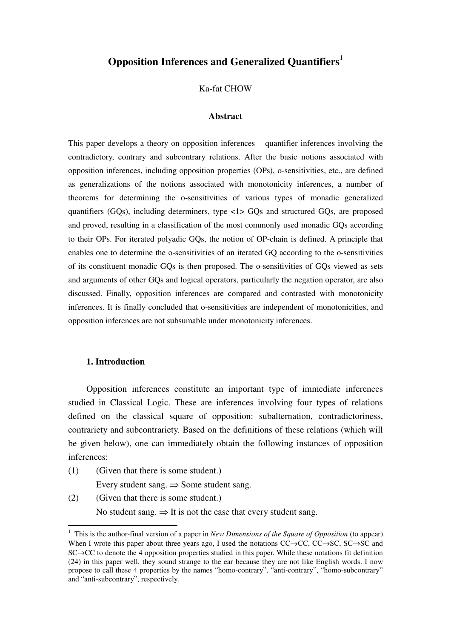# **Opposition Inferences and Generalized Quantifiers<sup>1</sup>**

### Ka-fat CHOW

#### **Abstract**

This paper develops a theory on opposition inferences – quantifier inferences involving the contradictory, contrary and subcontrary relations. After the basic notions associated with opposition inferences, including opposition properties (OPs), o-sensitivities, etc., are defined as generalizations of the notions associated with monotonicity inferences, a number of theorems for determining the o-sensitivities of various types of monadic generalized quantifiers (GQs), including determiners, type <1> GQs and structured GQs, are proposed and proved, resulting in a classification of the most commonly used monadic GQs according to their OPs. For iterated polyadic GQs, the notion of OP-chain is defined. A principle that enables one to determine the o-sensitivities of an iterated GQ according to the o-sensitivities of its constituent monadic GQs is then proposed. The o-sensitivities of GQs viewed as sets and arguments of other GQs and logical operators, particularly the negation operator, are also discussed. Finally, opposition inferences are compared and contrasted with monotonicity inferences. It is finally concluded that o-sensitivities are independent of monotonicities, and opposition inferences are not subsumable under monotonicity inferences.

#### **1. Introduction**

 $\overline{a}$ 

Opposition inferences constitute an important type of immediate inferences studied in Classical Logic. These are inferences involving four types of relations defined on the classical square of opposition: subalternation, contradictoriness, contrariety and subcontrariety. Based on the definitions of these relations (which will be given below), one can immediately obtain the following instances of opposition inferences:

- (1) (Given that there is some student.) Every student sang.  $\Rightarrow$  Some student sang.
- (2) (Given that there is some student.)

No student sang.  $\Rightarrow$  It is not the case that every student sang.

<sup>&</sup>lt;sup>1</sup> This is the author-final version of a paper in *New Dimensions of the Square of Opposition* (to appear). When I wrote this paper about three years ago, I used the notations  $CC \rightarrow CC$ ,  $CC \rightarrow SC$ ,  $SC \rightarrow SC$  and SC→CC to denote the 4 opposition properties studied in this paper. While these notations fit definition (24) in this paper well, they sound strange to the ear because they are not like English words. I now propose to call these 4 properties by the names "homo-contrary", "anti-contrary", "homo-subcontrary" and "anti-subcontrary", respectively.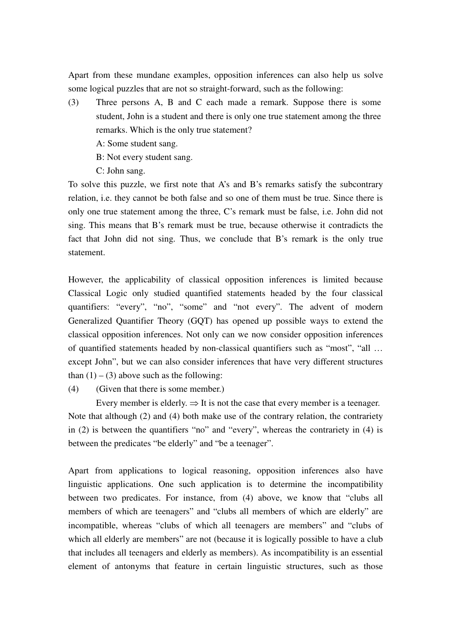Apart from these mundane examples, opposition inferences can also help us solve some logical puzzles that are not so straight-forward, such as the following:

- (3) Three persons A, B and C each made a remark. Suppose there is some student, John is a student and there is only one true statement among the three remarks. Which is the only true statement?
	- A: Some student sang.
	- B: Not every student sang.
	- C: John sang.

To solve this puzzle, we first note that A's and B's remarks satisfy the subcontrary relation, i.e. they cannot be both false and so one of them must be true. Since there is only one true statement among the three, C's remark must be false, i.e. John did not sing. This means that B's remark must be true, because otherwise it contradicts the fact that John did not sing. Thus, we conclude that B's remark is the only true statement.

However, the applicability of classical opposition inferences is limited because Classical Logic only studied quantified statements headed by the four classical quantifiers: "every", "no", "some" and "not every". The advent of modern Generalized Quantifier Theory (GQT) has opened up possible ways to extend the classical opposition inferences. Not only can we now consider opposition inferences of quantified statements headed by non-classical quantifiers such as "most", "all … except John", but we can also consider inferences that have very different structures than  $(1) - (3)$  above such as the following:

(4) (Given that there is some member.)

Every member is elderly.  $\Rightarrow$  It is not the case that every member is a teenager. Note that although (2) and (4) both make use of the contrary relation, the contrariety in (2) is between the quantifiers "no" and "every", whereas the contrariety in (4) is between the predicates "be elderly" and "be a teenager".

Apart from applications to logical reasoning, opposition inferences also have linguistic applications. One such application is to determine the incompatibility between two predicates. For instance, from (4) above, we know that "clubs all members of which are teenagers" and "clubs all members of which are elderly" are incompatible, whereas "clubs of which all teenagers are members" and "clubs of which all elderly are members" are not (because it is logically possible to have a club that includes all teenagers and elderly as members). As incompatibility is an essential element of antonyms that feature in certain linguistic structures, such as those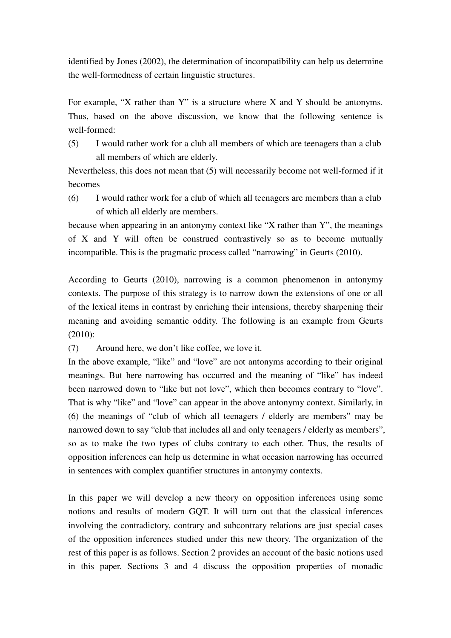identified by Jones (2002), the determination of incompatibility can help us determine the well-formedness of certain linguistic structures.

For example, "X rather than Y" is a structure where X and Y should be antonyms. Thus, based on the above discussion, we know that the following sentence is well-formed:

(5) I would rather work for a club all members of which are teenagers than a club all members of which are elderly.

Nevertheless, this does not mean that (5) will necessarily become not well-formed if it becomes

(6) I would rather work for a club of which all teenagers are members than a club of which all elderly are members.

because when appearing in an antonymy context like "X rather than Y", the meanings of X and Y will often be construed contrastively so as to become mutually incompatible. This is the pragmatic process called "narrowing" in Geurts (2010).

According to Geurts (2010), narrowing is a common phenomenon in antonymy contexts. The purpose of this strategy is to narrow down the extensions of one or all of the lexical items in contrast by enriching their intensions, thereby sharpening their meaning and avoiding semantic oddity. The following is an example from Geurts (2010):

(7) Around here, we don't like coffee, we love it.

In the above example, "like" and "love" are not antonyms according to their original meanings. But here narrowing has occurred and the meaning of "like" has indeed been narrowed down to "like but not love", which then becomes contrary to "love". That is why "like" and "love" can appear in the above antonymy context. Similarly, in (6) the meanings of "club of which all teenagers / elderly are members" may be narrowed down to say "club that includes all and only teenagers / elderly as members", so as to make the two types of clubs contrary to each other. Thus, the results of opposition inferences can help us determine in what occasion narrowing has occurred in sentences with complex quantifier structures in antonymy contexts.

In this paper we will develop a new theory on opposition inferences using some notions and results of modern GQT. It will turn out that the classical inferences involving the contradictory, contrary and subcontrary relations are just special cases of the opposition inferences studied under this new theory. The organization of the rest of this paper is as follows. Section 2 provides an account of the basic notions used in this paper. Sections 3 and 4 discuss the opposition properties of monadic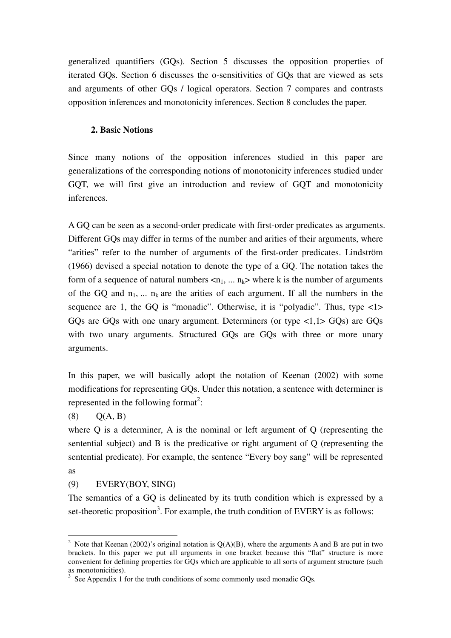generalized quantifiers (GQs). Section 5 discusses the opposition properties of iterated GQs. Section 6 discusses the o-sensitivities of GQs that are viewed as sets and arguments of other GQs / logical operators. Section 7 compares and contrasts opposition inferences and monotonicity inferences. Section 8 concludes the paper.

## **2. Basic Notions**

Since many notions of the opposition inferences studied in this paper are generalizations of the corresponding notions of monotonicity inferences studied under GQT, we will first give an introduction and review of GQT and monotonicity inferences.

A GQ can be seen as a second-order predicate with first-order predicates as arguments. Different GQs may differ in terms of the number and arities of their arguments, where "arities" refer to the number of arguments of the first-order predicates. Lindström (1966) devised a special notation to denote the type of a GQ. The notation takes the form of a sequence of natural numbers  $\langle n_1, ..., n_k \rangle$  where k is the number of arguments of the GQ and  $n_1$ , ...  $n_k$  are the arities of each argument. If all the numbers in the sequence are 1, the GQ is "monadic". Otherwise, it is "polyadic". Thus, type  $\langle 1 \rangle$ GQs are GQs with one unary argument. Determiners (or type <1,1> GQs) are GQs with two unary arguments. Structured GQs are GQs with three or more unary arguments.

In this paper, we will basically adopt the notation of Keenan (2002) with some modifications for representing GQs. Under this notation, a sentence with determiner is represented in the following format<sup>2</sup>:

 $(8)$   $O(A, B)$ 

where Q is a determiner, A is the nominal or left argument of Q (representing the sentential subject) and B is the predicative or right argument of Q (representing the sentential predicate). For example, the sentence "Every boy sang" will be represented as

# (9) EVERY(BOY, SING)

The semantics of a GQ is delineated by its truth condition which is expressed by a set-theoretic proposition<sup>3</sup>. For example, the truth condition of EVERY is as follows:

 $\overline{a}$ <sup>2</sup> Note that Keenan (2002)'s original notation is  $Q(A)(B)$ , where the arguments A and B are put in two brackets. In this paper we put all arguments in one bracket because this "flat" structure is more convenient for defining properties for GQs which are applicable to all sorts of argument structure (such as monotonicities).

 $3$  See Appendix 1 for the truth conditions of some commonly used monadic GQs.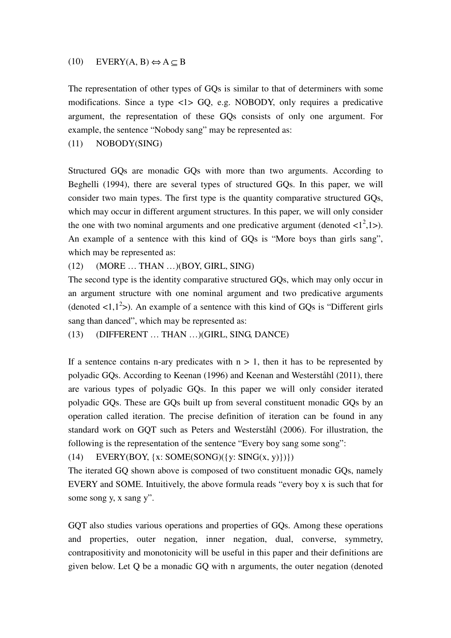## (10) EVERY(A, B)  $\Leftrightarrow$  A  $\subseteq$  B

The representation of other types of GQs is similar to that of determiners with some modifications. Since a type <1> GQ, e.g. NOBODY, only requires a predicative argument, the representation of these GQs consists of only one argument. For example, the sentence "Nobody sang" may be represented as:

(11) NOBODY(SING)

Structured GQs are monadic GQs with more than two arguments. According to Beghelli (1994), there are several types of structured GQs. In this paper, we will consider two main types. The first type is the quantity comparative structured GQs, which may occur in different argument structures. In this paper, we will only consider the one with two nominal arguments and one predicative argument (denoted  $\langle 1^2, 1 \rangle$ ). An example of a sentence with this kind of GQs is "More boys than girls sang", which may be represented as:

(12) (MORE … THAN …)(BOY, GIRL, SING)

The second type is the identity comparative structured GQs, which may only occur in an argument structure with one nominal argument and two predicative arguments (denoted  $\langle 1, 1^2 \rangle$ ). An example of a sentence with this kind of GQs is "Different girls" sang than danced", which may be represented as:

(13) (DIFFERENT … THAN …)(GIRL, SING, DANCE)

If a sentence contains n-ary predicates with  $n > 1$ , then it has to be represented by polyadic GQs. According to Keenan (1996) and Keenan and Westerståhl (2011), there are various types of polyadic GQs. In this paper we will only consider iterated polyadic GQs. These are GQs built up from several constituent monadic GQs by an operation called iteration. The precise definition of iteration can be found in any standard work on GQT such as Peters and Westerståhl (2006). For illustration, the following is the representation of the sentence "Every boy sang some song":

(14) EVERY(BOY,  $\{x: SOME(SONG)(\{y: SING(x, y)\})\}$ 

The iterated GQ shown above is composed of two constituent monadic GQs, namely EVERY and SOME. Intuitively, the above formula reads "every boy x is such that for some song y, x sang y".

GQT also studies various operations and properties of GQs. Among these operations and properties, outer negation, inner negation, dual, converse, symmetry, contrapositivity and monotonicity will be useful in this paper and their definitions are given below. Let Q be a monadic GQ with n arguments, the outer negation (denoted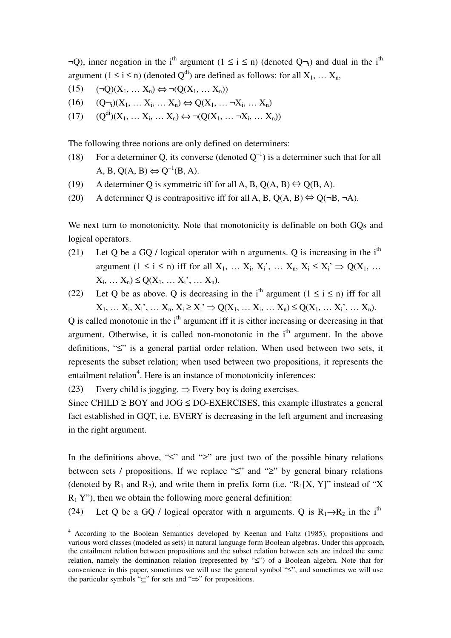$\neg Q$ ), inner negation in the i<sup>th</sup> argument (1 ≤ i ≤ n) (denoted Q $\neg_i$ ) and dual in the i<sup>th</sup> argument ( $1 \le i \le n$ ) (denoted  $Q^{di}$ ) are defined as follows: for all  $X_1, \ldots, X_n$ ,

- $(15)$   $(\neg Q)(X_1, \dots X_n) \Leftrightarrow \neg(Q(X_1, \dots X_n))$
- $(16)$   $(Q_{\neg i})(X_1, \dots X_i, \dots X_n) \Leftrightarrow Q(X_1, \dots \neg X_i, \dots X_n)$
- $(17)$   $(Q^{di})(X_1, \ldots X_i, \ldots X_n) \Leftrightarrow \neg(Q(X_1, \ldots \neg X_i, \ldots X_n))$

The following three notions are only defined on determiners:

- (18) For a determiner Q, its converse (denoted  $Q^{-1}$ ) is a determiner such that for all A, B,  $O(A, B) \Leftrightarrow O^{-1}(B, A)$ .
- (19) A determiner Q is symmetric iff for all A, B, Q(A, B)  $\Leftrightarrow$  Q(B, A).
- (20) A determiner Q is contrapositive iff for all A, B,  $O(A, B) \leftrightarrow O(\neg B, \neg A)$ .

We next turn to monotonicity. Note that monotonicity is definable on both GQs and logical operators.

- (21) Let Q be a GQ / logical operator with n arguments. Q is increasing in the i<sup>th</sup> argument  $(1 \le i \le n)$  iff for all  $X_1, \ldots, X_i, X_i, \ldots, X_n, X_i \le X_i \Rightarrow Q(X_1, \ldots, X_n)$  $X_i, \ldots X_n$ )  $\leq Q(X_1, \ldots X_i)$ ,  $\ldots X_n$ ).
- (22) Let Q be as above. Q is decreasing in the i<sup>th</sup> argument ( $1 \le i \le n$ ) iff for all  $X_1, \ldots X_i, X_i, \ldots X_n, X_i \ge X_i \Rightarrow Q(X_1, \ldots X_i, \ldots X_n) \le Q(X_1, \ldots X_i, \ldots X_n).$

 $\overline{Q}$  is called monotonic in the i<sup>th</sup> argument iff it is either increasing or decreasing in that argument. Otherwise, it is called non-monotonic in the  $i<sup>th</sup>$  argument. In the above definitions, "≤" is a general partial order relation. When used between two sets, it represents the subset relation; when used between two propositions, it represents the entailment relation<sup>4</sup>. Here is an instance of monotonicity inferences:

(23) Every child is jogging.  $\Rightarrow$  Every boy is doing exercises.

Since CHILD  $\geq$  BOY and JOG  $\leq$  DO-EXERCISES, this example illustrates a general fact established in GQT, i.e. EVERY is decreasing in the left argument and increasing in the right argument.

In the definitions above, " $\leq$ " and " $\geq$ " are just two of the possible binary relations between sets / propositions. If we replace "≤" and "≥" by general binary relations (denoted by  $R_1$  and  $R_2$ ), and write them in prefix form (i.e. " $R_1[X, Y]$ " instead of "X"  $R_1$  Y"), then we obtain the following more general definition:

(24) Let Q be a GO / logical operator with n arguments. Q is  $R_1 \rightarrow R_2$  in the i<sup>th</sup>

 4 According to the Boolean Semantics developed by Keenan and Faltz (1985), propositions and various word classes (modeled as sets) in natural language form Boolean algebras. Under this approach, the entailment relation between propositions and the subset relation between sets are indeed the same relation, namely the domination relation (represented by "≤") of a Boolean algebra. Note that for convenience in this paper, sometimes we will use the general symbol "≤", and sometimes we will use the particular symbols "⊆" for sets and "⇒" for propositions.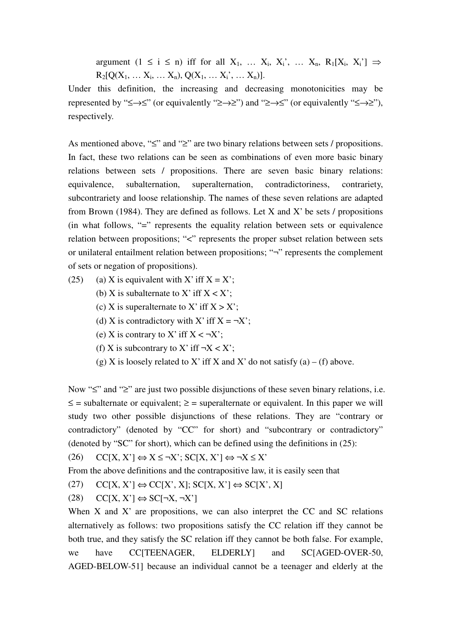argument  $(1 \le i \le n)$  iff for all  $X_1, \ldots, X_i, X_i, \ldots, X_n, R_1[X_i, X_i] \Rightarrow$  $R_2[Q(X_1, \ldots X_i, \ldots X_n), Q(X_1, \ldots X_i', \ldots X_n)].$ 

Under this definition, the increasing and decreasing monotonicities may be represented by " $\leq \to \leq$ " (or equivalently " $\geq \to \geq$ ") and " $\geq \to \leq$ " (or equivalently " $\leq \to \geq$ "), respectively.

As mentioned above, "≤" and "≥" are two binary relations between sets / propositions. In fact, these two relations can be seen as combinations of even more basic binary relations between sets / propositions. There are seven basic binary relations: equivalence, subalternation, superalternation, contradictoriness, contrariety, subcontrariety and loose relationship. The names of these seven relations are adapted from Brown (1984). They are defined as follows. Let X and X' be sets  $\ell$  propositions (in what follows, "=" represents the equality relation between sets or equivalence relation between propositions; "<" represents the proper subset relation between sets or unilateral entailment relation between propositions; "¬" represents the complement of sets or negation of propositions).

- (25) (a) X is equivalent with X' iff  $X = X'$ ;
	- (b) X is subalternate to X' iff  $X < X'$ ;
	- (c) X is superalternate to X' iff  $X > X'$ ;
	- (d) X is contradictory with X' iff  $X = \neg X'$ ;
	- (e) X is contrary to X' iff  $X < \neg X'$ ;
	- (f) X is subcontrary to X' iff  $\neg X < X$ ';
	- (g) X is loosely related to X' iff X and X' do not satisfy (a) (f) above.

Now "≤" and "≥" are just two possible disjunctions of these seven binary relations, i.e.  $\leq$  = subalternate or equivalent;  $\geq$  = superalternate or equivalent. In this paper we will study two other possible disjunctions of these relations. They are "contrary or contradictory" (denoted by "CC" for short) and "subcontrary or contradictory" (denoted by "SC" for short), which can be defined using the definitions in (25):

 $(C_1(X, X') \Leftrightarrow X \leq \neg X'; SC[X, X'] \Leftrightarrow \neg X \leq X'$ 

From the above definitions and the contrapositive law, it is easily seen that

 $(C[27]$   $CC[X, X'] \Leftrightarrow CC[X', X]; SC[X, X'] \Leftrightarrow SC[X', X]$ 

 $(C[28] CC[X, X'] \Leftrightarrow SC[\neg X, \neg X']$ 

When  $X$  and  $X'$  are propositions, we can also interpret the CC and SC relations alternatively as follows: two propositions satisfy the CC relation iff they cannot be both true, and they satisfy the SC relation iff they cannot be both false. For example, we have CC[TEENAGER, ELDERLY] and SC[AGED-OVER-50, AGED-BELOW-51] because an individual cannot be a teenager and elderly at the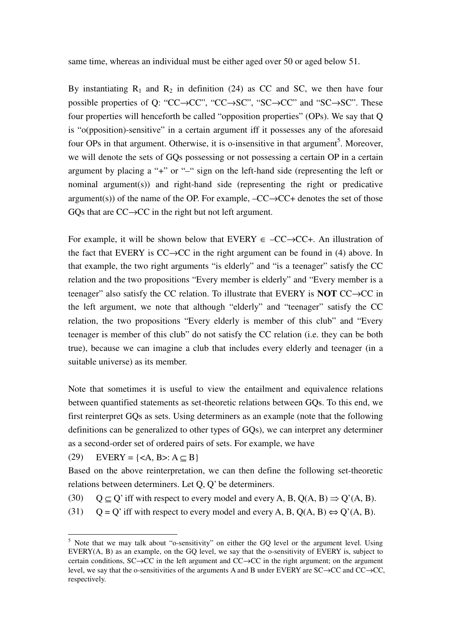same time, whereas an individual must be either aged over 50 or aged below 51.

By instantiating  $R_1$  and  $R_2$  in definition (24) as CC and SC, we then have four possible properties of Q: "CC→CC", "CC→SC", "SC→CC" and "SC→SC". These four properties will henceforth be called "opposition properties" (OPs). We say that Q is "o(pposition)-sensitive" in a certain argument iff it possesses any of the aforesaid four OPs in that argument. Otherwise, it is o-insensitive in that argument<sup>5</sup>. Moreover, we will denote the sets of GQs possessing or not possessing a certain OP in a certain argument by placing a "+" or "–" sign on the left-hand side (representing the left or nominal argument(s)) and right-hand side (representing the right or predicative argument(s)) of the name of the OP. For example,  $-CC \rightarrow CC +$  denotes the set of those GQs that are  $CC \rightarrow CC$  in the right but not left argument.

For example, it will be shown below that EVERY  $\in$  –CC $\rightarrow$ CC+. An illustration of the fact that EVERY is  $CC \rightarrow CC$  in the right argument can be found in (4) above. In that example, the two right arguments "is elderly" and "is a teenager" satisfy the CC relation and the two propositions "Every member is elderly" and "Every member is a teenager" also satisfy the CC relation. To illustrate that EVERY is **NOT** CC→CC in the left argument, we note that although "elderly" and "teenager" satisfy the CC relation, the two propositions "Every elderly is member of this club" and "Every teenager is member of this club" do not satisfy the CC relation (i.e. they can be both true), because we can imagine a club that includes every elderly and teenager (in a suitable universe) as its member.

Note that sometimes it is useful to view the entailment and equivalence relations between quantified statements as set-theoretic relations between GQs. To this end, we first reinterpret GQs as sets. Using determiners as an example (note that the following definitions can be generalized to other types of GQs), we can interpret any determiner as a second-order set of ordered pairs of sets. For example, we have

(29) EVERY =  $\{ : A \subset B\}$ 

 $\overline{a}$ 

Based on the above reinterpretation, we can then define the following set-theoretic relations between determiners. Let Q, Q' be determiners.

- (30)  $Q \subseteq Q'$  iff with respect to every model and every A, B,  $Q(A, B) \Rightarrow Q'(A, B)$ .
- (31)  $Q = Q'$  iff with respect to every model and every A, B,  $Q(A, B) \Leftrightarrow Q'(A, B)$ .

<sup>&</sup>lt;sup>5</sup> Note that we may talk about "o-sensitivity" on either the GQ level or the argument level. Using EVERY(A, B) as an example, on the GQ level, we say that the o-sensitivity of EVERY is, subject to certain conditions, SC→CC in the left argument and CC→CC in the right argument; on the argument level, we say that the o-sensitivities of the arguments A and B under EVERY are SC→CC and CC→CC, respectively.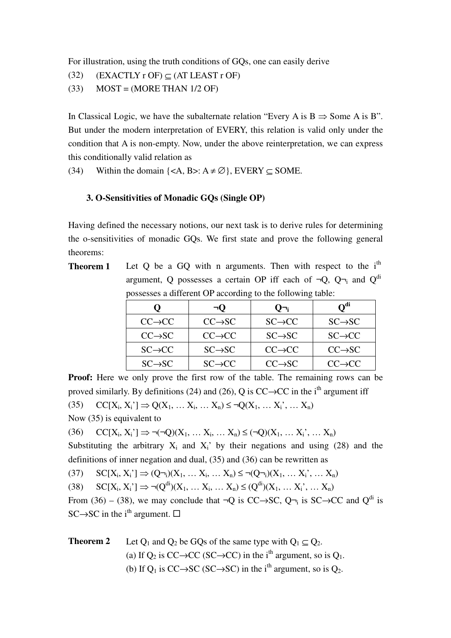For illustration, using the truth conditions of GQs, one can easily derive

- (32)  $(EXACTLY r OF) \subseteq (AT LEAST r OF)$
- $(33)$  MOST = (MORE THAN 1/2 OF)

In Classical Logic, we have the subalternate relation "Every A is  $B \Rightarrow$  Some A is B". But under the modern interpretation of EVERY, this relation is valid only under the condition that A is non-empty. Now, under the above reinterpretation, we can express this conditionally valid relation as

(34) Within the domain  $\{\langle A, B \rangle : A \neq \emptyset\}$ , EVERY  $\subset$  SOME.

## **3. O-Sensitivities of Monadic GQs (Single OP)**

Having defined the necessary notions, our next task is to derive rules for determining the o-sensitivities of monadic GQs. We first state and prove the following general theorems:

**Theorem 1** Let Q be a GQ with n arguments. Then with respect to the i<sup>th</sup> argument, Q possesses a certain OP iff each of  $\neg Q$ ,  $Q\neg_i$  and  $Q^{di}$ possesses a different OP according to the following table:

|                     | $\neg$ O            | U¬։                 | O <sup>di</sup>     |
|---------------------|---------------------|---------------------|---------------------|
| $CC \rightarrow CC$ | $CC \rightarrow SC$ | $SC \rightarrow CC$ | $SC \rightarrow SC$ |
| $CC \rightarrow SC$ | $CC \rightarrow CC$ | $SC \rightarrow SC$ | $SC \rightarrow CC$ |
| $SC \rightarrow CC$ | $SC \rightarrow SC$ | $CC \rightarrow CC$ | $CC \rightarrow SC$ |
| $SC \rightarrow SC$ | $SC \rightarrow CC$ | $CC \rightarrow SC$ | $CC \rightarrow CC$ |

**Proof:** Here we only prove the first row of the table. The remaining rows can be proved similarly. By definitions (24) and (26), O is  $CC \rightarrow CC$  in the i<sup>th</sup> argument iff (35)  $CC[X_i, X_i'] \Rightarrow Q(X_1, \ldots, X_i, \ldots, X_n) \leq \neg Q(X_1, \ldots, X_i', \ldots, X_n)$ Now (35) is equivalent to

(36)  $CC[X_i, X_i'] \Rightarrow \neg(\neg Q)(X_1, \dots, X_i, \dots, X_n) \leq (\neg Q)(X_1, \dots, X_i, \dots, X_n)$ 

Substituting the arbitrary  $X_i$  and  $X_i$ ' by their negations and using (28) and the definitions of inner negation and dual, (35) and (36) can be rewritten as

(37)  $SC[X_i, X_i'] \implies (Q\neg_i)(X_1, \dots, X_i, \dots, X_n) \le \neg (Q\neg_i)(X_1, \dots, X_i, \dots, X_n)$ 

 $\text{SC}[X_i, X_i] \Rightarrow \neg (Q^{di})(X_1, \dots, X_i, \dots, X_n) \leq (Q^{di})(X_1, \dots, X_i, \dots, X_n)$ 

From (36) – (38), we may conclude that  $\neg Q$  is CC $\rightarrow$ SC,  $Q\neg$ <sub>i</sub> is SC $\rightarrow$ CC and  $Q^{di}$  is SC $\rightarrow$ SC in the i<sup>th</sup> argument.  $\square$ 

**Theorem 2** Let  $Q_1$  and  $Q_2$  be GQs of the same type with  $Q_1 \subset Q_2$ . (a) If  $O_2$  is CC→CC (SC→CC) in the i<sup>th</sup> argument, so is  $O_1$ . (b) If  $O_1$  is CC $\rightarrow$ SC (SC $\rightarrow$ SC) in the i<sup>th</sup> argument, so is  $O_2$ .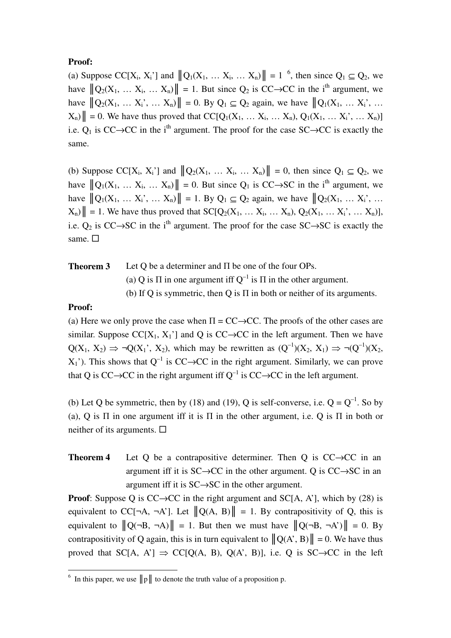# **Proof:**

(a) Suppose CC[X<sub>i</sub>, X<sub>i</sub>'] and  $||Q_1(X_1, \ldots, X_i, \ldots, X_n)|| = 1^{-6}$ , then since  $Q_1 \subseteq Q_2$ , we have  $||Q_2(X_1, \ldots, X_i, \ldots, X_n)|| = 1$ . But since  $Q_2$  is CC $\rightarrow$ CC in the i<sup>th</sup> argument, we have  $||Q_2(X_1, \ldots, X_i)| = 0$ . By  $Q_1 \subseteq Q_2$  again, we have  $||Q_1(X_1, \ldots, X_i)|$ ...  $X_n$ | = 0. We have thus proved that  $CC[Q_1(X_1, ... X_i, ... X_n), Q_1(X_1, ... X_i, ... X_n)]$ i.e.  $Q_1$  is CC→CC in the i<sup>th</sup> argument. The proof for the case SC→CC is exactly the same.

(b) Suppose CC[X<sub>i</sub>, X<sub>i</sub>'] and  $||Q_2(X_1, \ldots, X_i, \ldots, X_n)|| = 0$ , then since  $Q_1 \subseteq Q_2$ , we have  $||Q_1(X_1, \ldots X_i, \ldots X_n)|| = 0$ . But since  $Q_1$  is CC→SC in the i<sup>th</sup> argument, we have  $||Q_1(X_1, \ldots, X_i)| = 1$ . By  $Q_1 \subseteq Q_2$  again, we have  $||Q_2(X_1, \ldots, X_i)|$ ...  $X_n$ | = 1. We have thus proved that  $SC[Q_2(X_1, ... X_i, ... X_n), Q_2(X_1, ... X_i, ..., X_n)],$ i.e.  $Q_2$  is CC→SC in the i<sup>th</sup> argument. The proof for the case SC→SC is exactly the same.  $\square$ 

**Theorem 3** Let Q be a determiner and Π be one of the four OPs. (a) Q is  $\Pi$  in one argument iff  $Q^{-1}$  is  $\Pi$  in the other argument. (b) If Q is symmetric, then Q is  $\Pi$  in both or neither of its arguments.

# **Proof:**

(a) Here we only prove the case when  $\Pi = CC \rightarrow CC$ . The proofs of the other cases are similar. Suppose  $CC[X_1, X_1']$  and Q is  $CC \rightarrow CC$  in the left argument. Then we have  $Q(X_1, X_2) \Rightarrow \neg Q(X_1', X_2)$ , which may be rewritten as  $(Q^{-1})(X_2, X_1) \Rightarrow \neg (Q^{-1})(X_2, X_2)$  $X_1$ <sup>'</sup>). This shows that  $O^{-1}$  is  $CC \rightarrow CC$  in the right argument. Similarly, we can prove that Q is CC→CC in the right argument iff  $Q^{-1}$  is CC→CC in the left argument.

(b) Let Q be symmetric, then by (18) and (19), Q is self-converse, i.e.  $Q = Q^{-1}$ . So by (a), Q is  $\Pi$  in one argument iff it is  $\Pi$  in the other argument, i.e. Q is  $\Pi$  in both or neither of its arguments.  $\square$ 

**Theorem 4** Let Q be a contrapositive determiner. Then Q is CC→CC in an argument iff it is  $SC \rightarrow CC$  in the other argument. Q is  $CC \rightarrow SC$  in an argument iff it is SC→SC in the other argument.

**Proof**: Suppose Q is  $CC \rightarrow CC$  in the right argument and  $SC[A, A']$ , which by (28) is equivalent to CC[¬A, ¬A']. Let  $||Q(A, B)|| = 1$ . By contrapositivity of Q, this is equivalent to  $||Q(\neg B, \neg A)|| = 1$ . But then we must have  $||Q(\neg B, \neg A')|| = 0$ . By contrapositivity of Q again, this is in turn equivalent to  $||Q(A, B)|| = 0$ . We have thus proved that SC[A, A']  $\Rightarrow$  CC[Q(A, B), Q(A', B)], i.e. Q is SC $\rightarrow$ CC in the left

<sup>&</sup>lt;sup>6</sup> In this paper, we use  $||p||$  to denote the truth value of a proposition p.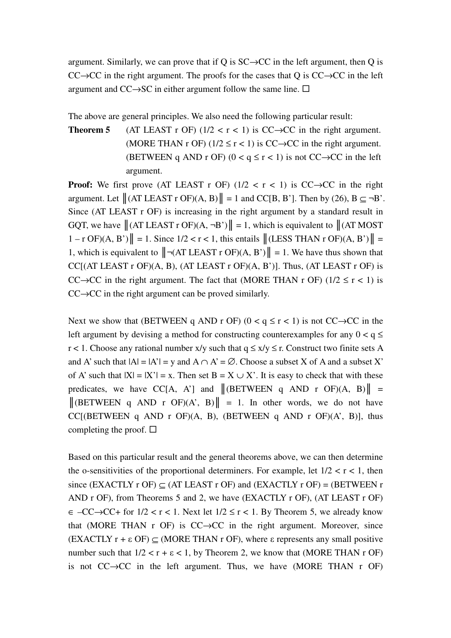argument. Similarly, we can prove that if Q is  $SC \rightarrow CC$  in the left argument, then Q is  $CC \rightarrow CC$  in the right argument. The proofs for the cases that Q is  $CC \rightarrow CC$  in the left argument and CC $\rightarrow$ SC in either argument follow the same line.  $\Box$ 

The above are general principles. We also need the following particular result:

**Theorem 5** (AT LEAST r OF)  $(1/2 < r < 1)$  is CC $\rightarrow$ CC in the right argument. (MORE THAN r OF) ( $1/2 \le r < 1$ ) is CC $\rightarrow$ CC in the right argument. (BETWEEN q AND r OF) ( $0 < q \le r < 1$ ) is not CC $\rightarrow$ CC in the left argument.

**Proof:** We first prove (AT LEAST r OF)  $(1/2 < r < 1)$  is CC $\rightarrow$ CC in the right argument. Let  $\|(AT LEAST \, r \, OF)(A, B)\| = 1$  and  $CC[B, B']$ . Then by (26),  $B \subseteq \neg B'$ . Since (AT LEAST r OF) is increasing in the right argument by a standard result in GQT, we have  $\|(AT LEASTr OF)(A, \neg B')\| = 1$ , which is equivalent to  $\|(AT MOST)$  $1 - r \text{ OF}(A, B')$  = 1. Since  $1/2 < r < 1$ , this entails  $\|(LESS)$  THAN r OF $)(A, B') \|$  = 1, which is equivalent to  $\|\neg(AT LEAST T OF)(A, B')\| = 1$ . We have thus shown that CC $[(AT LEAST r OF)(A, B), (AT LEAST r OF)(A, B')]$ . Thus,  $(AT LEAST r OF)$  is CC $\rightarrow$ CC in the right argument. The fact that (MORE THAN r OF) (1/2  $\le$  r < 1) is  $CC \rightarrow CC$  in the right argument can be proved similarly.

Next we show that (BETWEEN q AND r OF) ( $0 < q \le r < 1$ ) is not CC $\rightarrow$ CC in the left argument by devising a method for constructing counterexamples for any  $0 < q \le$ r < 1. Choose any rational number x/y such that  $q \le x/y \le r$ . Construct two finite sets A and A' such that  $|A| = |A'| = y$  and  $A \cap A' = \emptyset$ . Choose a subset X of A and a subset X' of A' such that  $|X| = |X'| = x$ . Then set  $B = X \cup X'$ . It is easy to check that with these predicates, we have CC[A, A'] and  $\|$ (BETWEEN q AND r OF)(A, B) $\|$  =  $\|$ (BETWEEN q AND r OF)(A', B) $\| = 1$ . In other words, we do not have CC[(BETWEEN q AND r OF) $(A, B)$ , (BETWEEN q AND r OF) $(A', B)$ ], thus completing the proof.  $\square$ 

Based on this particular result and the general theorems above, we can then determine the o-sensitivities of the proportional determiners. For example, let  $1/2 < r < 1$ , then since (EXACTLY r OF)  $\subset$  (AT LEAST r OF) and (EXACTLY r OF) = (BETWEEN r AND r OF), from Theorems 5 and 2, we have (EXACTLY r OF), (AT LEAST r OF)  $\epsilon$  –CC→CC+ for  $1/2 < r < 1$ . Next let  $1/2 \le r < 1$ . By Theorem 5, we already know that (MORE THAN r OF) is  $CC \rightarrow CC$  in the right argument. Moreover, since  $(EXACTLY r + \epsilon \text{ OF}) \subset (MORE THAN r \text{ OF})$ , where  $\epsilon$  represents any small positive number such that  $1/2 < r + \epsilon < 1$ , by Theorem 2, we know that (MORE THAN r OF) is not  $CC \rightarrow CC$  in the left argument. Thus, we have (MORE THAN r OF)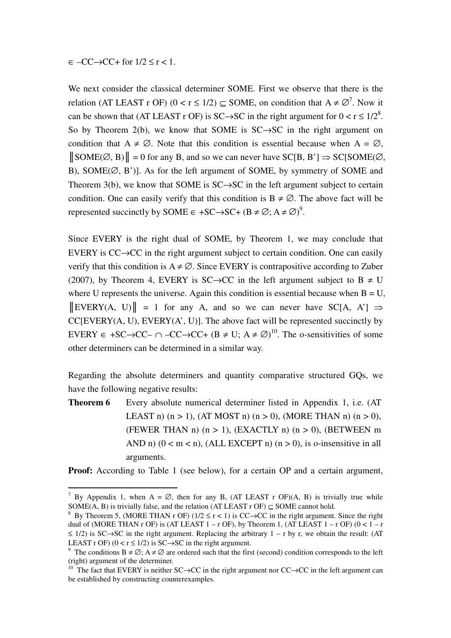$\epsilon$  –CC $\rightarrow$ CC+ for  $1/2 \le r < 1$ .

 $\overline{a}$ 

We next consider the classical determiner SOME. First we observe that there is the relation (AT LEAST r OF)  $(0 < r \le 1/2) \subseteq$  SOME, on condition that  $A \ne \emptyset^7$ . Now it can be shown that (AT LEAST r OF) is SC $\rightarrow$ SC in the right argument for  $0 < r \le 1/2^8$ . So by Theorem 2(b), we know that SOME is  $SC \rightarrow SC$  in the right argument on condition that  $A \neq \emptyset$ . Note that this condition is essential because when  $A = \emptyset$ ,  $\|\text{SOME}(\emptyset, B)\| = 0$  for any B, and so we can never have SC[B, B']  $\Rightarrow$  SC[SOME( $\emptyset$ , B), SOME( $\emptyset$ , B')]. As for the left argument of SOME, by symmetry of SOME and Theorem 3(b), we know that SOME is  $SC \rightarrow SC$  in the left argument subject to certain condition. One can easily verify that this condition is  $B \neq \emptyset$ . The above fact will be represented succinctly by SOME  $\in$  +SC $\rightarrow$ SC+ (B  $\neq \emptyset$ ; A  $\neq \emptyset$ )<sup>9</sup>.

Since EVERY is the right dual of SOME, by Theorem 1, we may conclude that EVERY is CC→CC in the right argument subject to certain condition. One can easily verify that this condition is  $A \neq \emptyset$ . Since EVERY is contrapositive according to Zuber (2007), by Theorem 4, EVERY is SC $\rightarrow$ CC in the left argument subject to B  $\neq$  U where U represents the universe. Again this condition is essential because when  $B = U$ ,  $\|\text{EVERY}(A, U)\| = 1$  for any A, and so we can never have SC[A, A']  $\Rightarrow$  $CC[EVERY(A, U), EVERY(A', U)]$ . The above fact will be represented succinctly by EVERY  $\in$  +SC $\rightarrow$ CC–  $\cap$  -CC $\rightarrow$ CC+ (B  $\neq$  U; A  $\neq$   $\emptyset$ )<sup>10</sup>. The o-sensitivities of some other determiners can be determined in a similar way.

Regarding the absolute determiners and quantity comparative structured GQs, we have the following negative results:

**Theorem 6** Every absolute numerical determiner listed in Appendix 1, i.e. (AT LEAST n)  $(n > 1)$ ,  $(AT MOST n) (n > 0)$ ,  $(MORE THAN n) (n > 0)$ , (FEWER THAN n)  $(n > 1)$ ,  $(EXACTLY$  n)  $(n > 0)$ ,  $(BETWERN$  m AND n)  $(0 < m < n)$ , (ALL EXCEPT n)  $(n > 0)$ , is o-insensitive in all arguments.

**Proof:** According to Table 1 (see below), for a certain OP and a certain argument,

<sup>&</sup>lt;sup>7</sup> By Appendix 1, when A =  $\emptyset$ , then for any B, (AT LEAST r OF)(A, B) is trivially true while SOME(A, B) is trivially false, and the relation (AT LEAST r OF)  $\subset$  SOME cannot hold.

<sup>&</sup>lt;sup>8</sup> By Theorem 5, (MORE THAN r OF) ( $1/2 \le r < 1$ ) is CC $\rightarrow$ CC in the right argument. Since the right dual of (MORE THAN r OF) is (AT LEAST  $1 - r$  OF), by Theorem 1, (AT LEAST  $1 - r$  OF)  $(0 < 1 - r)$  $\leq$  1/2) is SC→SC in the right argument. Replacing the arbitrary 1 – r by r, we obtain the result: (AT LEAST r OF)  $(0 < r \le 1/2)$  is SC $\rightarrow$ SC in the right argument.

<sup>&</sup>lt;sup>9</sup> The conditions B  $\neq \emptyset$ ; A  $\neq \emptyset$  are ordered such that the first (second) condition corresponds to the left (right) argument of the determiner.

<sup>&</sup>lt;sup>10</sup> The fact that EVERY is neither SC→CC in the right argument nor CC→CC in the left argument can be established by constructing counterexamples.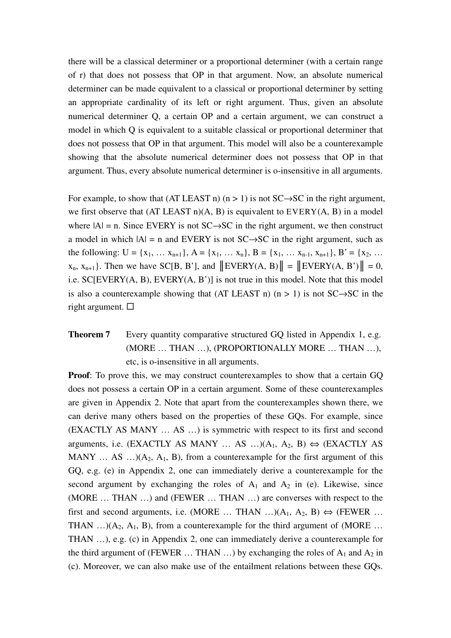there will be a classical determiner or a proportional determiner (with a certain range of r) that does not possess that OP in that argument. Now, an absolute numerical determiner can be made equivalent to a classical or proportional determiner by setting an appropriate cardinality of its left or right argument. Thus, given an absolute numerical determiner Q, a certain OP and a certain argument, we can construct a model in which Q is equivalent to a suitable classical or proportional determiner that does not possess that OP in that argument. This model will also be a counterexample showing that the absolute numerical determiner does not possess that OP in that argument. Thus, every absolute numerical determiner is o-insensitive in all arguments.

For example, to show that (AT LEAST n) (n > 1) is not  $SC \rightarrow SC$  in the right argument, we first observe that  $(AT LEAST n)(A, B)$  is equivalent to  $EVERY(A, B)$  in a model where  $|A| = n$ . Since EVERY is not SC $\rightarrow$ SC in the right argument, we then construct a model in which  $|A| = n$  and EVERY is not SC $\rightarrow$ SC in the right argument, such as the following:  $U = \{x_1, \ldots x_{n+1}\}, A = \{x_1, \ldots x_n\}, B = \{x_1, \ldots x_{n-1}, x_{n+1}\}, B' = \{x_2, \ldots$  $x_n$ ,  $x_{n+1}$ . Then we have SC[B, B'], and  $\|\text{EVERY}(A, B)\| = \|\text{EVERY}(A, B')\| = 0$ , i.e. SC[EVERY(A, B), EVERY(A, B')] is not true in this model. Note that this model is also a counterexample showing that (AT LEAST n) (n > 1) is not  $SC \rightarrow SC$  in the right argument.  $\square$ 

# **Theorem 7** Every quantity comparative structured GQ listed in Appendix 1, e.g. (MORE … THAN …), (PROPORTIONALLY MORE … THAN …), etc, is o-insensitive in all arguments.

**Proof**: To prove this, we may construct counterexamples to show that a certain GQ does not possess a certain OP in a certain argument. Some of these counterexamples are given in Appendix 2. Note that apart from the counterexamples shown there, we can derive many others based on the properties of these GQs. For example, since (EXACTLY AS MANY … AS …) is symmetric with respect to its first and second arguments, i.e. (EXACTLY AS MANY ... AS ...)( $A_1$ ,  $A_2$ , B)  $\Leftrightarrow$  (EXACTLY AS MANY  $\dots$  AS  $\dots$ )(A<sub>2</sub>, A<sub>1</sub>, B), from a counterexample for the first argument of this GQ, e.g. (e) in Appendix 2, one can immediately derive a counterexample for the second argument by exchanging the roles of  $A_1$  and  $A_2$  in (e). Likewise, since (MORE … THAN …) and (FEWER … THAN …) are converses with respect to the first and second arguments, i.e. (MORE ... THAN ...)( $A_1$ ,  $A_2$ , B)  $\Leftrightarrow$  (FEWER ... THAN  $\ldots$ )(A<sub>2</sub>, A<sub>1</sub>, B), from a counterexample for the third argument of (MORE  $\ldots$ THAN …), e.g. (c) in Appendix 2, one can immediately derive a counterexample for the third argument of (FEWER  $\dots$  THAN  $\dots$ ) by exchanging the roles of  $A_1$  and  $A_2$  in (c). Moreover, we can also make use of the entailment relations between these GQs.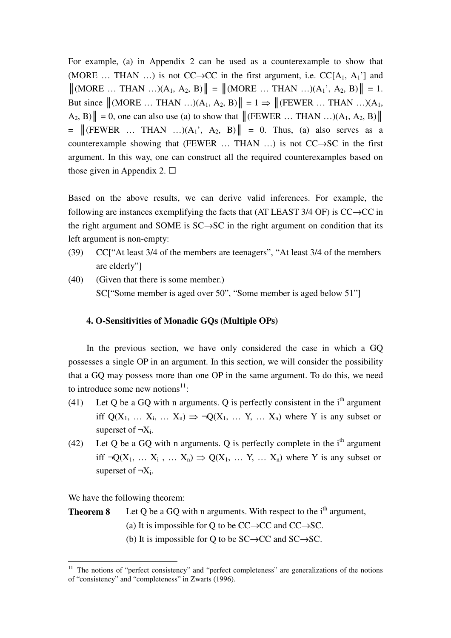For example, (a) in Appendix 2 can be used as a counterexample to show that (MORE ... THAN ...) is not  $CC \rightarrow CC$  in the first argument, i.e.  $CC[A_1, A_1']$  and  $\|(\text{MORE} \dots \text{THAN} \dots)(A_1, A_2, B)\| = \|(\text{MORE} \dots \text{THAN} \dots)(A_1, A_2, B)\| = 1.$ But since  $\|$ (MORE ... THAN ...)(A<sub>1</sub>, A<sub>2</sub>, B) $\| = 1 \Rightarrow$   $\|$ (FEWER ... THAN ...)(A<sub>1</sub>,  $A_2, B$ )|| = 0, one can also use (a) to show that  $\|$ (FEWER ... THAN ...)(A<sub>1</sub>, A<sub>2</sub>, B)||  $= \left\| \times \text{FEWER} \dots \text{THAN} \dots \right| (A_1, A_2, B) \right\| = 0.$  Thus, (a) also serves as a counterexample showing that (FEWER … THAN …) is not CC→SC in the first argument. In this way, one can construct all the required counterexamples based on those given in Appendix 2.  $\Box$ 

Based on the above results, we can derive valid inferences. For example, the following are instances exemplifying the facts that (AT LEAST 3/4 OF) is  $CC \rightarrow CC$  in the right argument and SOME is SC→SC in the right argument on condition that its left argument is non-empty:

- (39) CC["At least 3/4 of the members are teenagers", "At least 3/4 of the members are elderly"]
- (40) (Given that there is some member.) SC["Some member is aged over 50", "Some member is aged below 51"]

# **4. O-Sensitivities of Monadic GQs (Multiple OPs)**

In the previous section, we have only considered the case in which a GO possesses a single OP in an argument. In this section, we will consider the possibility that a GQ may possess more than one OP in the same argument. To do this, we need to introduce some new notions $11$ :

- (41) Let Q be a GQ with n arguments. Q is perfectly consistent in the  $i<sup>th</sup>$  argument iff  $Q(X_1, \ldots, X_i, \ldots, X_n) \Rightarrow \neg Q(X_1, \ldots, Y, \ldots, X_n)$  where Y is any subset or superset of  $\neg X_i$ .
- (42) Let O be a GO with n arguments. O is perfectly complete in the  $i<sup>th</sup>$  argument iff  $\neg Q(X_1, \dots X_i, \dots X_n) \Rightarrow Q(X_1, \dots Y, \dots X_n)$  where Y is any subset or superset of  $\neg X_i$ .

We have the following theorem:

 $\overline{a}$ 

**Theorem 8** Let Q be a GQ with n arguments. With respect to the  $i<sup>th</sup>$  argument, (a) It is impossible for Q to be  $CC \rightarrow CC$  and  $CC \rightarrow SC$ . (b) It is impossible for Q to be  $SC \rightarrow CC$  and  $SC \rightarrow SC$ .

<sup>&</sup>lt;sup>11</sup> The notions of "perfect consistency" and "perfect completeness" are generalizations of the notions of "consistency" and "completeness" in Zwarts (1996).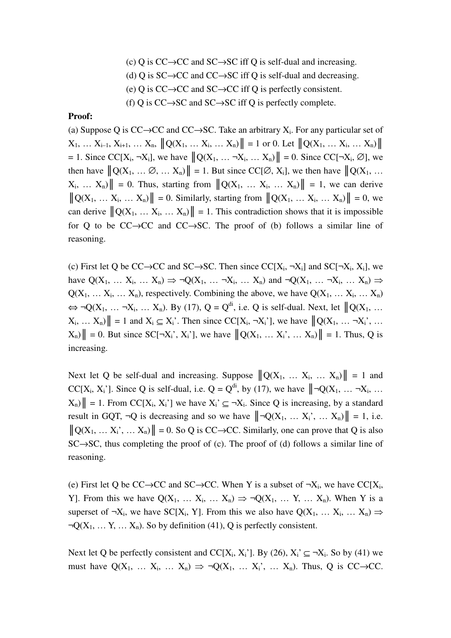(c) Q is  $CC \rightarrow CC$  and  $SC \rightarrow SC$  iff Q is self-dual and increasing. (d) Q is  $SC \rightarrow CC$  and  $CC \rightarrow SC$  iff Q is self-dual and decreasing. (e) Q is CC→CC and SC→CC iff Q is perfectly consistent. (f) Q is  $CC \rightarrow SC$  and  $SC \rightarrow SC$  iff Q is perfectly complete.

## **Proof:**

(a) Suppose Q is  $CC \rightarrow CC$  and  $CC \rightarrow SC$ . Take an arbitrary  $X_i$ . For any particular set of  $X_1, \ldots X_{i-1}, X_{i+1}, \ldots X_n, \|Q(X_1, \ldots X_i, \ldots X_n)\| = 1$  or 0. Let  $\|Q(X_1, \ldots X_i, \ldots X_n)\|$  $= 1$ . Since CC[X<sub>i</sub>, ¬X<sub>i</sub>], we have  $||Q(X_1, \ldots \neg X_i, \ldots X_n)|| = 0$ . Since CC[¬X<sub>i</sub>,  $\emptyset$ ], we then have  $||Q(X_1, \ldots \emptyset, \ldots, X_n)|| = 1$ . But since  $CC[\emptyset, X_i]$ , we then have  $||Q(X_1, \ldots, X_n)|| = 1$ .  $X_i$ ,  $\ldots$   $X_n$ )  $\| = 0$ . Thus, starting from  $\|Q(X_1, \ldots, X_i, \ldots, X_n)\| = 1$ , we can derive  $||Q(X_1, ... X_i, ... X_n)|| = 0$ . Similarly, starting from  $||Q(X_1, ... X_i, ... X_n)|| = 0$ , we can derive  $\|Q(X_1, \ldots, X_i, \ldots, X_n)\| = 1$ . This contradiction shows that it is impossible for Q to be CC→CC and CC→SC. The proof of (b) follows a similar line of reasoning.

(c) First let Q be CC→CC and SC→SC. Then since  $CC[X_i, \neg X_i]$  and  $SC[\neg X_i, X_i]$ , we have  $Q(X_1, \ldots X_i, \ldots X_n) \Rightarrow \neg Q(X_1, \ldots \neg X_i, \ldots X_n)$  and  $\neg Q(X_1, \ldots \neg X_i, \ldots X_n) \Rightarrow$  $Q(X_1, \ldots X_i, \ldots X_n)$ , respectively. Combining the above, we have  $Q(X_1, \ldots X_i, \ldots X_n)$  $\Leftrightarrow \neg Q(X_1, \dots, \neg X_i, \dots, X_n)$ . By (17),  $Q = Q^{di}$ , i.e. Q is self-dual. Next, let  $||Q(X_1, \dots, X_n)||$  $X_i, \ldots, X_n$ | = 1 and  $X_i \subseteq X_i'$ . Then since  $CC[X_i, \neg X_i']$ , we have  $\|Q(X_1, \ldots, \neg X_i')\|$ ,  $\ldots$  $X_n$ )  $\| = 0$ . But since  $SC[\neg X_i', X_i']$ , we have  $\|Q(X_1, \dots, X_i', \dots, X_n)\| = 1$ . Thus, Q is increasing.

Next let Q be self-dual and increasing. Suppose  $||Q(X_1, \ldots, X_i, \ldots, X_n)|| = 1$  and CC[X<sub>i</sub>, X<sub>i</sub>']. Since Q is self-dual, i.e.  $Q = Q^{di}$ , by (17), we have  $||\neg Q(X_1, \dots, \neg X_i, \dots$  $X_n$ | = 1. From CC[X<sub>i</sub>, X<sub>i</sub>'] we have  $X_i' \subseteq \neg X_i$ . Since Q is increasing, by a standard result in GQT,  $\neg Q$  is decreasing and so we have  $||\neg Q(X_1, \dots, X_i; \dots, X_n)|| = 1$ , i.e.  $||Q(X_1, \ldots, X_i, \ldots, X_n)|| = 0$ . So Q is CC→CC. Similarly, one can prove that Q is also  $SC \rightarrow SC$ , thus completing the proof of (c). The proof of (d) follows a similar line of reasoning.

(e) First let Q be CC→CC and SC→CC. When Y is a subset of  $\neg X_i$ , we have CC[X<sub>i</sub>, Y]. From this we have  $Q(X_1, \ldots X_i, \ldots X_n) \Rightarrow \neg Q(X_1, \ldots Y, \ldots X_n)$ . When Y is a superset of  $\neg X_i$ , we have SC[X<sub>i</sub>, Y]. From this we also have Q(X<sub>1</sub>, ... X<sub>i</sub>, ... X<sub>n</sub>)  $\Rightarrow$  $\neg Q(X_1, \ldots, Y, \ldots, X_n)$ . So by definition (41), Q is perfectly consistent.

Next let Q be perfectly consistent and CC[X<sub>i</sub>, X<sub>i</sub>']. By (26), X<sub>i</sub>'  $\subseteq \neg X_i$ . So by (41) we must have  $Q(X_1, \ldots X_i, \ldots X_n) \Rightarrow \neg Q(X_1, \ldots X_i, \ldots X_n)$ . Thus, Q is CC $\rightarrow$ CC.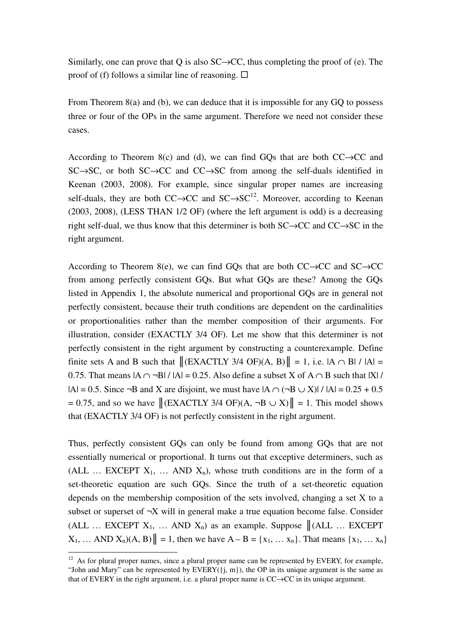Similarly, one can prove that Q is also  $SC \rightarrow CC$ , thus completing the proof of (e). The proof of (f) follows a similar line of reasoning.  $\Box$ 

From Theorem 8(a) and (b), we can deduce that it is impossible for any GQ to possess three or four of the OPs in the same argument. Therefore we need not consider these cases.

According to Theorem 8(c) and (d), we can find GOs that are both  $CC \rightarrow CC$  and SC→SC, or both SC→CC and CC→SC from among the self-duals identified in Keenan (2003, 2008). For example, since singular proper names are increasing self-duals, they are both  $CC \rightarrow CC$  and  $SC \rightarrow SC^{12}$ . Moreover, according to Keenan (2003, 2008), (LESS THAN 1/2 OF) (where the left argument is odd) is a decreasing right self-dual, we thus know that this determiner is both SC→CC and CC→SC in the right argument.

According to Theorem 8(e), we can find GQs that are both  $CC \rightarrow CC$  and  $SC \rightarrow CC$ from among perfectly consistent GQs. But what GQs are these? Among the GQs listed in Appendix 1, the absolute numerical and proportional GQs are in general not perfectly consistent, because their truth conditions are dependent on the cardinalities or proportionalities rather than the member composition of their arguments. For illustration, consider (EXACTLY 3/4 OF). Let me show that this determiner is not perfectly consistent in the right argument by constructing a counterexample. Define finite sets A and B such that  $\|$ (EXACTLY 3/4 OF)(A, B) $\| = 1$ , i.e.  $|A \cap B| / |A|$ 0.75. That means  $|A \cap \neg B| / |A| = 0.25$ . Also define a subset X of  $A \cap B$  such that  $|X| /$  $|A| = 0.5$ . Since  $\neg B$  and X are disjoint, we must have  $|A \cap (\neg B \cup X)| / |A| = 0.25 + 0.5$  $= 0.75$ , and so we have  $\|$ (EXACTLY 3/4 OF)(A, ¬B  $\cup$  X) $\| = 1$ . This model shows that (EXACTLY 3/4 OF) is not perfectly consistent in the right argument.

Thus, perfectly consistent GQs can only be found from among GQs that are not essentially numerical or proportional. It turns out that exceptive determiners, such as (ALL ... EXCEPT  $X_1$ , ... AND  $X_n$ ), whose truth conditions are in the form of a set-theoretic equation are such GQs. Since the truth of a set-theoretic equation depends on the membership composition of the sets involved, changing a set X to a subset or superset of  $\neg X$  will in general make a true equation become false. Consider (ALL ... EXCEPT  $X_1$ , ... AND  $X_n$ ) as an example. Suppose  $\|$ (ALL ... EXCEPT  $X_1, ...$  AND  $X_n(A, B)$  = 1, then we have  $A - B = \{x_1, ... x_n\}$ . That means  $\{x_1, ... x_n\}$ 

 $\overline{a}$  $12$  As for plural proper names, since a plural proper name can be represented by EVERY, for example, "John and Mary" can be represented by  $EVERY(\{j, m\})$ , the OP in its unique argument is the same as that of EVERY in the right argument, i.e. a plural proper name is CC→CC in its unique argument.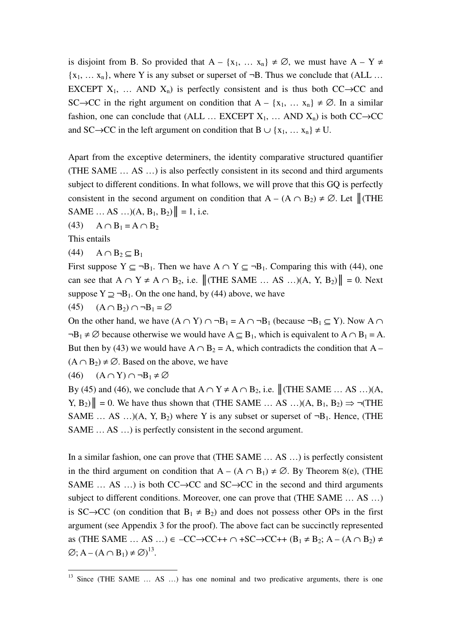is disjoint from B. So provided that  $A - \{x_1, \dots, x_n\} \neq \emptyset$ , we must have  $A - Y \neq$  ${x_1, \ldots, x_n}$ , where Y is any subset or superset of  $\neg B$ . Thus we conclude that (ALL ... EXCEPT  $X_1$ , ... AND  $X_n$ ) is perfectly consistent and is thus both CC $\rightarrow$ CC and SC→CC in the right argument on condition that  $A - \{x_1, \dots, x_n\} \neq \emptyset$ . In a similar fashion, one can conclude that (ALL ... EXCEPT  $X_1$ , ... AND  $X_n$ ) is both CC $\rightarrow$ CC and SC→CC in the left argument on condition that B  $\cup$  {x<sub>1</sub>, ... x<sub>n</sub>}  $\neq$  U.

Apart from the exceptive determiners, the identity comparative structured quantifier (THE SAME … AS …) is also perfectly consistent in its second and third arguments subject to different conditions. In what follows, we will prove that this GQ is perfectly consistent in the second argument on condition that A – (A ∩ B<sub>2</sub>) ≠  $\emptyset$ . Let  $\parallel$  (THE SAME  $\ldots$  AS  $\ldots$ )(A, B<sub>1</sub>, B<sub>2</sub>)|| = 1, i.e.

(43)  $A \cap B_1 = A \cap B_2$ 

This entails

 $\overline{a}$ 

 $(44)$  A ∩ B<sub>2</sub> ⊂ B<sub>1</sub>

First suppose  $Y \subseteq \neg B_1$ . Then we have  $A \cap Y \subseteq \neg B_1$ . Comparing this with (44), one can see that  $A \cap Y \neq A \cap B_2$ , i.e.  $||$  (THE SAME ... AS ...)(A, Y, B<sub>2</sub>) $|| = 0$ . Next suppose  $Y \supseteq \neg B_1$ . On the one hand, by (44) above, we have

(45)  $(A \cap B_2) \cap \neg B_1 = \varnothing$ 

On the other hand, we have  $(A \cap Y) \cap \neg B_1 = A \cap \neg B_1$  (because  $\neg B_1 \subseteq Y$ ). Now  $A \cap \neg B_1 = A \cap \neg B_1$  $\neg B_1 \neq \emptyset$  because otherwise we would have  $A \subseteq B_1$ , which is equivalent to  $A \cap B_1 = A$ . But then by (43) we would have  $A \cap B_2 = A$ , which contradicts the condition that  $A (A \cap B_2) \neq \emptyset$ . Based on the above, we have

 $(46)$   $(A ∩ Y) ∩ ¬B<sub>1</sub> ≠ ∅$ 

By (45) and (46), we conclude that  $A \cap Y \neq A \cap B_2$ , i.e.  $\|$  (THE SAME ... AS ...)(A, Y,  $B_2$ ) $\| = 0$ . We have thus shown that (THE SAME ... AS ...)(A,  $B_1$ ,  $B_2$ )  $\Rightarrow \neg$ (THE SAME ... AS ...)(A, Y, B<sub>2</sub>) where Y is any subset or superset of  $\neg B_1$ . Hence, (THE SAME … AS …) is perfectly consistent in the second argument.

In a similar fashion, one can prove that (THE SAME … AS …) is perfectly consistent in the third argument on condition that  $A - (A \cap B_1) \neq \emptyset$ . By Theorem 8(e), (THE SAME ... AS ...) is both  $CC \rightarrow CC$  and  $SC \rightarrow CC$  in the second and third arguments subject to different conditions. Moreover, one can prove that (THE SAME … AS …) is SC→CC (on condition that  $B_1 \neq B_2$ ) and does not possess other OPs in the first argument (see Appendix 3 for the proof). The above fact can be succinctly represented as (THE SAME … AS …)  $\in$  –CC $\rightarrow$ CC++  $\cap$  +SC $\rightarrow$ CC++ (B<sub>1</sub>  $\neq$  B<sub>2</sub>; A – (A  $\cap$  B<sub>2</sub>)  $\neq$  $\varnothing$ ; A – (A  $\cap$  B<sub>1</sub>)  $\neq \varnothing$ )<sup>13</sup>.

 $13$  Since (THE SAME  $\dots$  AS  $\dots$ ) has one nominal and two predicative arguments, there is one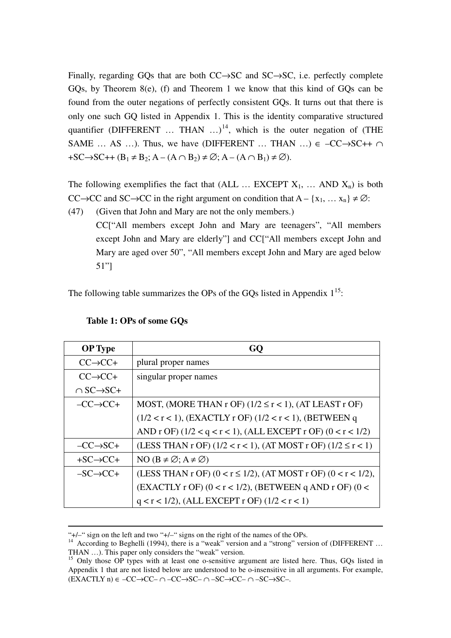Finally, regarding GQs that are both CC→SC and SC→SC, i.e. perfectly complete GQs, by Theorem 8(e), (f) and Theorem 1 we know that this kind of GQs can be found from the outer negations of perfectly consistent GQs. It turns out that there is only one such GQ listed in Appendix 1. This is the identity comparative structured quantifier (DIFFERENT  $\ldots$  THAN  $\ldots$ )<sup>14</sup>, which is the outer negation of (THE SAME ... AS ...). Thus, we have (DIFFERENT ... THAN ...)  $\in$  -CC $\rightarrow$ SC++  $\cap$  $+SC \rightarrow SC++ (B_1 \neq B_2; A-(A \cap B_2) \neq \emptyset; A-(A \cap B_1) \neq \emptyset).$ 

The following exemplifies the fact that (ALL ... EXCEPT  $X_1$ , ... AND  $X_n$ ) is both CC→CC and SC→CC in the right argument on condition that  $A - \{x_1, \ldots, x_n\} \neq \emptyset$ :

(47) (Given that John and Mary are not the only members.)

CC["All members except John and Mary are teenagers", "All members except John and Mary are elderly"] and CC["All members except John and Mary are aged over 50", "All members except John and Mary are aged below 51"]

The following table summarizes the OPs of the GQs listed in Appendix  $1^{15}$ .

| <b>OP</b> Type              |                                                                       |
|-----------------------------|-----------------------------------------------------------------------|
| $CC \rightarrow CC +$       | plural proper names                                                   |
| $CC \rightarrow CC +$       | singular proper names                                                 |
| $\cap$ SC $\rightarrow$ SC+ |                                                                       |
| $-CC \rightarrow CC +$      | MOST, (MORE THAN r OF) $(1/2 \le r < 1)$ , (AT LEAST r OF)            |
|                             | $(1/2 < r < 1)$ , (EXACTLY r OF) $(1/2 < r < 1)$ , (BETWEEN q         |
|                             | AND r OF) $(1/2 < q < r < 1)$ , (ALL EXCEPT r OF) $(0 < r < 1/2)$     |
| $-CC \rightarrow SC+$       | (LESS THAN r OF) $(1/2 < r < 1)$ , $(AT MOST r OF) (1/2 \le r < 1)$   |
| $+SC \rightarrow CC +$      | NO $(B \neq \emptyset; A \neq \emptyset)$                             |
| $-SC \rightarrow CC+$       | (LESS THAN r OF) $(0 < r \le 1/2)$ , $(AT MOST r OF) (0 < r < 1/2)$ , |
|                             | $(EXACTLY$ r OF) $(0 < r < 1/2)$ , (BETWEEN q AND r OF) $(0 <$        |
|                             | $q < r < 1/2$ ), (ALL EXCEPT r OF) ( $1/2 < r < 1$ )                  |

|  |  | Table 1: OPs of some GQs |
|--|--|--------------------------|
|--|--|--------------------------|

 $\overline{a}$ 

<sup>&</sup>quot;+/–" sign on the left and two "+/–" signs on the right of the names of the OPs.

<sup>&</sup>lt;sup>14</sup> According to Beghelli (1994), there is a "weak" version and a "strong" version of (DIFFERENT ... THAN …). This paper only considers the "weak" version.

<sup>&</sup>lt;sup>15</sup> Only those OP types with at least one o-sensitive argument are listed here. Thus, GOs listed in Appendix 1 that are not listed below are understood to be o-insensitive in all arguments. For example, (EXACTLY n) ∈ –CC→CC– ∩ –CC→SC– ∩ –SC→CC– ∩ –SC→SC–.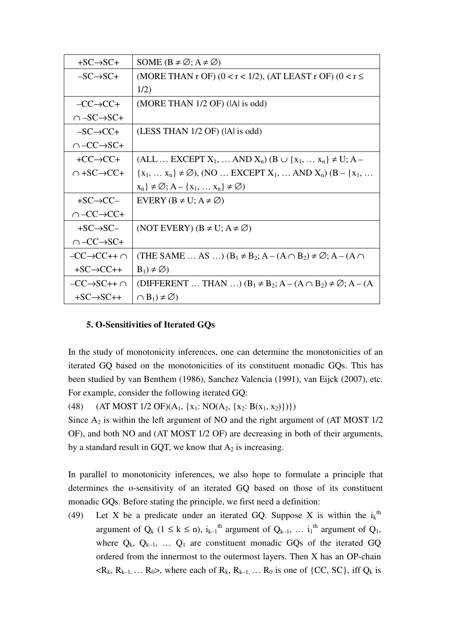| $+SC \rightarrow SC+$        | SOME $(B \neq \emptyset; A \neq \emptyset)$                                        |
|------------------------------|------------------------------------------------------------------------------------|
| $-SC \rightarrow SC+$        | (MORE THAN r OF) $(0 < r < 1/2)$ , (AT LEAST r OF) $(0 < r \le$                    |
|                              | 1/2)                                                                               |
| $-CC\rightarrow CC+$         | (MORE THAN 1/2 OF) ( A  is odd)                                                    |
| $\cap$ –SC $\rightarrow$ SC+ |                                                                                    |
| $-SC \rightarrow CC+$        | (LESS THAN 1/2 OF) ( A  is odd)                                                    |
| $\cap$ -CC $\rightarrow$ SC+ |                                                                                    |
| $+CC \rightarrow CC +$       | $(ALL  EXCEPT X_1,  AND X_n) (B \cup \{x_1,  x_n\} \neq U; A -$                    |
| $\cap$ +SC $\rightarrow$ CC+ | ${x_1, , x_n} \neq \emptyset$ ), (NO  EXCEPT $X_1, $ AND $X_n$ ) (B – { $x_1, $    |
|                              | $x_n$ $\neq \emptyset$ ; A – { $x_1, \ldots x_n$ } $\neq \emptyset$ }              |
| $+SC \rightarrow CC-$        | EVERY ( $B \neq U$ ; $A \neq \emptyset$ )                                          |
| $\cap$ -CC $\rightarrow$ CC+ |                                                                                    |
| $+SC \rightarrow SC-$        | (NOT EVERY) $(B \neq U; A \neq \emptyset)$                                         |
| $\cap$ -CC $\rightarrow$ SC+ |                                                                                    |
| $-CC\rightarrow CC++\cap$    | (THE SAME  AS ) $(B_1 \neq B_2; A - (A \cap B_2) \neq \emptyset; A - (A \cap B_1)$ |
| $+SC \rightarrow CC++$       | $B_1$ ) $\neq \emptyset$ )                                                         |
| $-CC \rightarrow SC++\cap$   | (DIFFERENT  THAN ) $(B_1 \neq B_2; A - (A \cap B_2) \neq \emptyset; A - (A$        |
| $+SC \rightarrow SC++$       | $\cap$ B <sub>1</sub> ) $\neq \emptyset$ )                                         |

# **5. O-Sensitivities of Iterated GQs**

In the study of monotonicity inferences, one can determine the monotonicities of an iterated GQ based on the monotonicities of its constituent monadic GQs. This has been studied by van Benthem (1986), Sanchez Valencia (1991), van Eijck (2007), etc. For example, consider the following iterated GQ:

(48) (AT MOST 1/2 OF)( $A_1$ , { $x_1$ : NO( $A_2$ , { $x_2$ : B( $x_1$ ,  $x_2$ )})})

Since  $A_2$  is within the left argument of NO and the right argument of (AT MOST  $1/2$ ) OF), and both NO and (AT MOST 1/2 OF) are decreasing in both of their arguments, by a standard result in GQT, we know that  $A_2$  is increasing.

In parallel to monotonicity inferences, we also hope to formulate a principle that determines the o-sensitivity of an iterated GQ based on those of its constituent monadic GQs. Before stating the principle, we first need a definition:

(49) Let X be a predicate under an iterated GQ. Suppose X is within the  $i_k$ <sup>th</sup> argument of  $Q_k$  ( $1 \le k \le n$ ),  $i_{k-1}$ <sup>th</sup> argument of  $Q_{k-1}$ , ...  $i_1$ <sup>th</sup> argument of  $Q_1$ , where  $Q_k$ ,  $Q_{k-1}$ , ...  $Q_1$  are constituent monadic GQs of the iterated GQ ordered from the innermost to the outermost layers. Then X has an OP-chain  $\langle R_k, R_{k-1}, \ldots R_0 \rangle$ , where each of  $R_k, R_{k-1}, \ldots R_0$  is one of {CC, SC}, iff  $Q_k$  is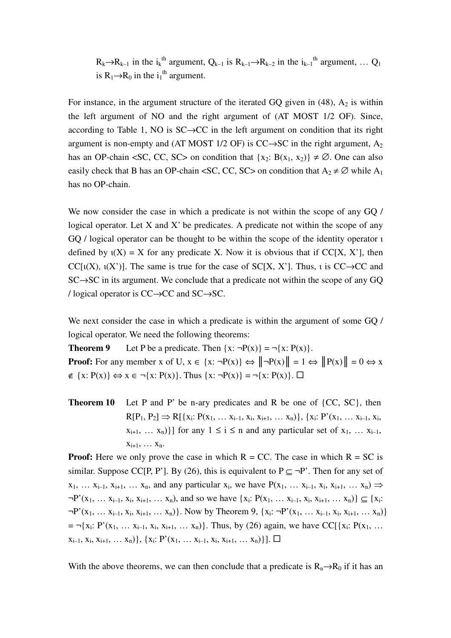$R_k \rightarrow R_{k-1}$  in the i<sub>k</sub><sup>th</sup> argument,  $Q_{k-1}$  is  $R_{k-1} \rightarrow R_{k-2}$  in the i<sub>k-1</sub><sup>th</sup> argument, ...  $Q_1$ is  $R_1 \rightarrow R_0$  in the i<sub>1</sub><sup>th</sup> argument.

For instance, in the argument structure of the iterated GQ given in  $(48)$ ,  $A_2$  is within the left argument of NO and the right argument of (AT MOST 1/2 OF). Since, according to Table 1, NO is SC→CC in the left argument on condition that its right argument is non-empty and (AT MOST 1/2 OF) is  $CC \rightarrow SC$  in the right argument, A<sub>2</sub> has an OP-chain <SC, CC, SC> on condition that  $\{x_2: B(x_1, x_2)\}\neq \emptyset$ . One can also easily check that B has an OP-chain <SC, CC, SC> on condition that  $A_2 \neq \emptyset$  while  $A_1$ has no OP-chain.

We now consider the case in which a predicate is not within the scope of any GQ / logical operator. Let  $X$  and  $X'$  be predicates. A predicate not within the scope of any GQ / logical operator can be thought to be within the scope of the identity operator ι defined by  $\iota(X) = X$  for any predicate X. Now it is obvious that if CC[X, X'], then CC[ $\iota(X)$ ,  $\iota(X')$ ]. The same is true for the case of SC[X, X']. Thus,  $\iota$  is CC $\rightarrow$ CC and SC→SC in its argument. We conclude that a predicate not within the scope of any GQ / logical operator is CC→CC and SC→SC.

We next consider the case in which a predicate is within the argument of some GQ / logical operator. We need the following theorems:

**Theorem 9** Let P be a predicate. Then  $\{x: \neg P(x)\} = \neg \{x: P(x)\}.$ **Proof:** For any member x of U,  $x \in \{x : \neg P(x)\} \Leftrightarrow ||\neg P(x)|| = 1 \Leftrightarrow ||P(x)|| = 0 \Leftrightarrow x$  $\notin \{x: P(x)\}\Leftrightarrow x \in \neg\{x: P(x)\}\$ . Thus  $\{x: \neg P(x)\} = \neg\{x: P(x)\}\$ .  $\Box$ 

**Theorem 10** Let P and P' be n-ary predicates and R be one of {CC, SC}, then  $R[P_1, P_2] \Rightarrow R[\{x_i: P(x_1, \ldots x_{i-1}, x_i, x_{i+1}, \ldots x_n)\}, \{x_i: P'(x_1, \ldots x_{i-1}, x_i, x_{i+1}, x_{i+1}, x_{i+1}, x_{i+1}, x_{i+1}, x_{i+1}, x_{i+1}, x_{i+1}, x_{i+1}, x_{i+1}, x_{i+1}, x_{i+1}, x_{i+1}, x_{i+1}, x_{i+1}, x_{i+1}, x_{i+1}, x_{i+1}, x_{i+1}, x_{i+1}, x_{i+1}, x_{i+1}, x_{i+1}, x_{i+1}, x_{i+1},$  $x_{i+1}, \ldots, x_n$ } for any  $1 \le i \le n$  and any particular set of  $x_1, \ldots, x_{i-1}$ ,  $X_{i+1}, \ldots X_n$ .

**Proof:** Here we only prove the case in which  $R = CC$ . The case in which  $R = SC$  is similar. Suppose CC[P, P']. By (26), this is equivalent to  $P \subset \neg P'$ . Then for any set of  $x_1, \ldots x_{i-1}, x_{i+1}, \ldots x_n$ , and any particular  $x_i$ , we have  $P(x_1, \ldots x_{i-1}, x_i, x_{i+1}, \ldots x_n) \Rightarrow$  $\neg P'(x_1, \ldots x_{i-1}, x_i, x_{i+1}, \ldots x_n)$ , and so we have  $\{x_i: P(x_1, \ldots x_{i-1}, x_i, x_{i+1}, \ldots x_n)\} \subseteq \{x_i:$  $\neg P'(x_1, \ldots x_{i-1}, x_i, x_{i+1}, \ldots x_n)$ . Now by Theorem 9,  $\{x_i: \neg P'(x_1, \ldots x_{i-1}, x_i, x_{i+1}, \ldots x_n)\}\$  $= \neg \{x_i: P'(x_1, \ldots x_{i-1}, x_i, x_{i+1}, \ldots x_n)\}.$  Thus, by (26) again, we have CC[ $\{x_i: P(x_1, \ldots x_n)\}$ .  $x_{i-1}, x_i, x_{i+1}, \ldots, x_n) \}, \{x_i: P'(x_1, \ldots, x_{i-1}, x_i, x_{i+1}, \ldots, x_n) \}]. \square$ 

With the above theorems, we can then conclude that a predicate is  $R_n \rightarrow R_0$  if it has an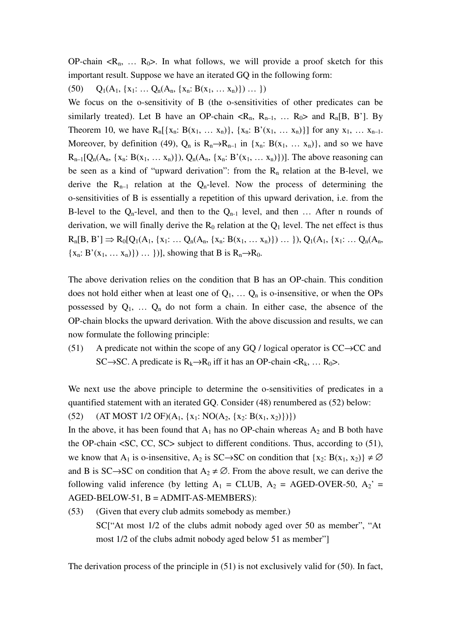OP-chain  $\langle R_n, \ldots, R_0 \rangle$ . In what follows, we will provide a proof sketch for this important result. Suppose we have an iterated GQ in the following form:

(50)  $Q_1(A_1, \{x_1: \ldots Q_n(A_n, \{x_n: B(x_1, \ldots x_n)\}) \ldots \})$ 

We focus on the o-sensitivity of B (the o-sensitivities of other predicates can be similarly treated). Let B have an OP-chain  $\langle R_n, R_{n-1}, \ldots, R_0 \rangle$  and  $R_n[B, B']$ . By Theorem 10, we have  $R_n[\{x_n: B(x_1, \ldots x_n)\}, \{x_n: B'(x_1, \ldots x_n)\}]$  for any  $x_1, \ldots x_{n-1}$ . Moreover, by definition (49),  $Q_n$  is  $R_n \rightarrow R_{n-1}$  in  $\{x_n: B(x_1, \ldots, x_n)\}$ , and so we have  $R_{n-1}[Q_n(A_n, \{x_n: B(x_1, \ldots, x_n)\}), Q_n(A_n, \{x_n: B'(x_1, \ldots, x_n)\})]$ . The above reasoning can be seen as a kind of "upward derivation": from the  $R_n$  relation at the B-level, we derive the  $R_{n-1}$  relation at the  $Q_n$ -level. Now the process of determining the o-sensitivities of B is essentially a repetition of this upward derivation, i.e. from the B-level to the  $Q_n$ -level, and then to the  $Q_{n-1}$  level, and then ... After n rounds of derivation, we will finally derive the  $R_0$  relation at the  $Q_1$  level. The net effect is thus  $R_n[B, B'] \Rightarrow R_0[Q_1(A_1, \{x_1: \ldots Q_n(A_n, \{x_n: B(x_1, \ldots x_n)\}) \ldots \}), Q_1(A_1, \{x_1: \ldots Q_n(A_n, \{x_n: \ldots x_n\})\})$  ${x_n: B'(x_1, \ldots, x_n)} \ldots$  })], showing that B is  $R_n \rightarrow R_0$ .

The above derivation relies on the condition that B has an OP-chain. This condition does not hold either when at least one of  $Q_1, \ldots, Q_n$  is o-insensitive, or when the OPs possessed by  $Q_1$ , ...  $Q_n$  do not form a chain. In either case, the absence of the OP-chain blocks the upward derivation. With the above discussion and results, we can now formulate the following principle:

(51) A predicate not within the scope of any GQ / logical operator is  $CC \rightarrow CC$  and SC→SC. A predicate is  $R_k \rightarrow R_0$  iff it has an OP-chain < $R_k$ , ...  $R_0$ >.

We next use the above principle to determine the o-sensitivities of predicates in a quantified statement with an iterated GQ. Consider (48) renumbered as (52) below:

(52) (AT MOST 1/2 OF)( $A_1$ , { $x_1$ : NO( $A_2$ , { $x_2$ : B( $x_1$ ,  $x_2$ )})})

In the above, it has been found that  $A_1$  has no OP-chain whereas  $A_2$  and B both have the OP-chain <SC, CC, SC> subject to different conditions. Thus, according to (51), we know that A<sub>1</sub> is o-insensitive, A<sub>2</sub> is SC→SC on condition that {x<sub>2</sub>: B(x<sub>1</sub>, x<sub>2</sub>)}  $\neq \emptyset$ and B is SC→SC on condition that  $A_2 \neq \emptyset$ . From the above result, we can derive the following valid inference (by letting  $A_1 = CLUB$ ,  $A_2 = AGED-OVER-50$ ,  $A_2' =$ AGED-BELOW-51, B = ADMIT-AS-MEMBERS):

(53) (Given that every club admits somebody as member.) SC["At most 1/2 of the clubs admit nobody aged over 50 as member", "At most 1/2 of the clubs admit nobody aged below 51 as member"]

The derivation process of the principle in (51) is not exclusively valid for (50). In fact,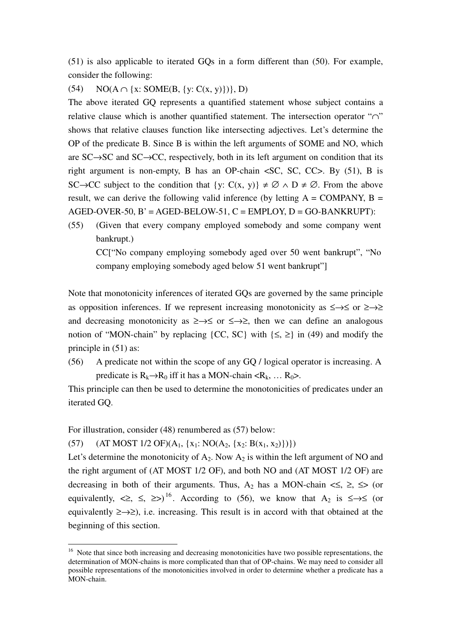(51) is also applicable to iterated GQs in a form different than (50). For example, consider the following:

# (54) NO( $A \cap \{x: SOME(B, \{y: C(x, y)\})\}, D)$

The above iterated GQ represents a quantified statement whose subject contains a relative clause which is another quantified statement. The intersection operator "∩" shows that relative clauses function like intersecting adjectives. Let's determine the OP of the predicate B. Since B is within the left arguments of SOME and NO, which are SC→SC and SC→CC, respectively, both in its left argument on condition that its right argument is non-empty, B has an OP-chain <SC, SC, CC>. By (51), B is SC $\rightarrow CC$  subject to the condition that  $\{y: C(x, y)\}\neq \emptyset \land D \neq \emptyset$ . From the above result, we can derive the following valid inference (by letting  $A = \text{COMPANY}, B =$  $AGED-OVER-50$ ,  $B' = AGED-BELOW-51$ ,  $C = EMPLOY$ ,  $D = GO-BANKRUPT$ ):

(55) (Given that every company employed somebody and some company went bankrupt.) CC["No company employing somebody aged over 50 went bankrupt", "No company employing somebody aged below 51 went bankrupt"]

Note that monotonicity inferences of iterated GQs are governed by the same principle as opposition inferences. If we represent increasing monotonicity as  $\leq \to \leq$  or  $\geq \to \geq$ and decreasing monotonicity as  $\geq \to \leq$  or  $\leq \to \geq$ , then we can define an analogous notion of "MON-chain" by replacing {CC, SC} with  $\{\leq, \geq\}$  in (49) and modify the principle in (51) as:

(56) A predicate not within the scope of any GQ / logical operator is increasing. A predicate is  $R_k \rightarrow R_0$  iff it has a MON-chain < $R_k$ , ...  $R_0$ >.

This principle can then be used to determine the monotonicities of predicates under an iterated GQ.

For illustration, consider (48) renumbered as (57) below:

 $\overline{a}$ 

(57) (AT MOST 1/2 OF)(A<sub>1</sub>, {x<sub>1</sub>: NO(A<sub>2</sub>, {x<sub>2</sub>: B(x<sub>1</sub>, x<sub>2</sub>)})})

Let's determine the monotonicity of  $A_2$ . Now  $A_2$  is within the left argument of NO and the right argument of (AT MOST 1/2 OF), and both NO and (AT MOST 1/2 OF) are decreasing in both of their arguments. Thus, A<sub>2</sub> has a MON-chain  $\leq$ ,  $\leq$ ,  $\leq$  (or equivalently,  $\langle \geq, \leq \rangle$   $\leq$   $\rangle$  according to (56), we know that A<sub>2</sub> is  $\leq \rightarrow \leq$  (or equivalently  $\ge \to \ge$ ), i.e. increasing. This result is in accord with that obtained at the beginning of this section.

<sup>&</sup>lt;sup>16</sup> Note that since both increasing and decreasing monotonicities have two possible representations, the determination of MON-chains is more complicated than that of OP-chains. We may need to consider all possible representations of the monotonicities involved in order to determine whether a predicate has a MON-chain.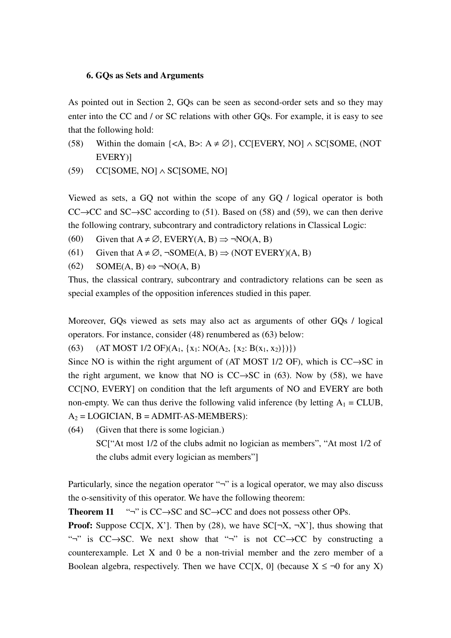### **6. GQs as Sets and Arguments**

As pointed out in Section 2, GQs can be seen as second-order sets and so they may enter into the CC and / or SC relations with other GQs. For example, it is easy to see that the following hold:

- (58) Within the domain  $\{\langle A, B \rangle : A \neq \emptyset\}$ , CC[EVERY, NO]  $\land$  SC[SOME, (NOT EVERY)]
- $(C[SONE, NO] \wedge SC[SONE, NO]$

Viewed as sets, a GQ not within the scope of any GQ / logical operator is both  $CC \rightarrow CC$  and  $SC \rightarrow SC$  according to (51). Based on (58) and (59), we can then derive the following contrary, subcontrary and contradictory relations in Classical Logic:

- (60) Given that  $A \neq \emptyset$ , EVERY(A, B)  $\Rightarrow \neg NO(A, B)$
- (61) Given that  $A \neq \emptyset$ ,  $\neg$ SOME(A, B)  $\Rightarrow$  (NOT Every)(A, B)
- $(62)$  SOME(A, B)  $\Leftrightarrow \neg NO(A, B)$

Thus, the classical contrary, subcontrary and contradictory relations can be seen as special examples of the opposition inferences studied in this paper.

Moreover, GQs viewed as sets may also act as arguments of other GQs / logical operators. For instance, consider (48) renumbered as (63) below:

(63) (AT MOST 1/2 OF)( $A_1$ , { $x_1$ : NO( $A_2$ , { $x_2$ : B( $x_1$ ,  $x_2$ )})})

Since NO is within the right argument of (AT MOST  $1/2$  OF), which is CC $\rightarrow$ SC in the right argument, we know that NO is  $CC \rightarrow SC$  in (63). Now by (58), we have CC[NO, EVERY] on condition that the left arguments of NO and EVERY are both non-empty. We can thus derive the following valid inference (by letting  $A_1 = CLUB$ ,  $A_2 = LOGICIAN, B = ADMIT-AS-MEMBERS):$ 

(64) (Given that there is some logician.)

SC["At most 1/2 of the clubs admit no logician as members", "At most 1/2 of the clubs admit every logician as members"]

Particularly, since the negation operator "¬" is a logical operator, we may also discuss the o-sensitivity of this operator. We have the following theorem:

**Theorem 11** "¬" is CC→SC and SC→CC and does not possess other OPs.

**Proof:** Suppose CC[X, X']. Then by (28), we have  $SC[\neg X, \neg X']$ , thus showing that "¬" is  $CC \rightarrow SC$ . We next show that "¬" is not  $CC \rightarrow CC$  by constructing a counterexample. Let X and 0 be a non-trivial member and the zero member of a Boolean algebra, respectively. Then we have CC[X, 0] (because  $X \leq \neg 0$  for any X)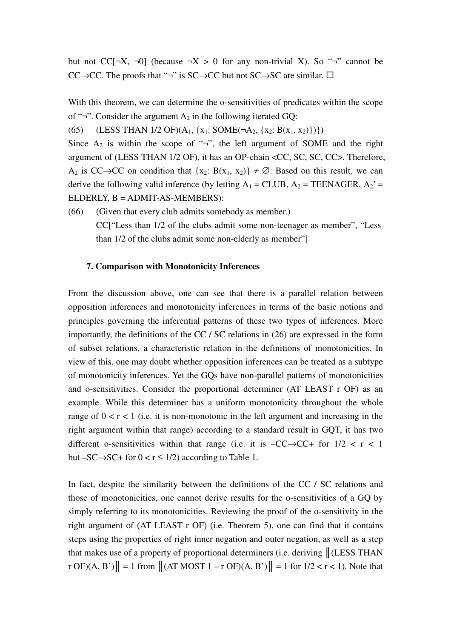but not CC[¬X, ¬0] (because ¬X > 0 for any non-trivial X). So "¬" cannot be CC $\rightarrow$ CC. The proofs that "¬" is SC $\rightarrow$ CC but not SC $\rightarrow$ SC are similar.  $\Box$ 

With this theorem, we can determine the o-sensitivities of predicates within the scope of "¬". Consider the argument  $A_2$  in the following iterated GQ:

(65) (LESS THAN 1/2 OF)( $A_1$ , {x<sub>1</sub>: SOME( $\neg A_2$ , {x<sub>2</sub>: B(x<sub>1</sub>, x<sub>2</sub>)})})

Since  $A_2$  is within the scope of "¬", the left argument of SOME and the right argument of (LESS THAN 1/2 OF), it has an OP-chain <CC, SC, SC, CC>. Therefore, A<sub>2</sub> is CC→CC on condition that  $\{x_2: B(x_1, x_2)\}\neq \emptyset$ . Based on this result, we can derive the following valid inference (by letting  $A_1 = CLUB$ ,  $A_2 = TEENAGER$ ,  $A_2 = TEENAGER$ ELDERLY, B = ADMIT-AS-MEMBERS):

(66) (Given that every club admits somebody as member.) CC["Less than 1/2 of the clubs admit some non-teenager as member", "Less than 1/2 of the clubs admit some non-elderly as member"]

### **7. Comparison with Monotonicity Inferences**

From the discussion above, one can see that there is a parallel relation between opposition inferences and monotonicity inferences in terms of the basic notions and principles governing the inferential patterns of these two types of inferences. More importantly, the definitions of the CC / SC relations in (26) are expressed in the form of subset relations, a characteristic relation in the definitions of monotonicities. In view of this, one may doubt whether opposition inferences can be treated as a subtype of monotonicity inferences. Yet the GQs have non-parallel patterns of monotonicities and o-sensitivities. Consider the proportional determiner (AT LEAST r OF) as an example. While this determiner has a uniform monotonicity throughout the whole range of  $0 < r < 1$  (i.e. it is non-monotonic in the left argument and increasing in the right argument within that range) according to a standard result in GQT, it has two different o-sensitivities within that range (i.e. it is  $-CC \rightarrow CC +$  for  $1/2 < r < 1$ ) but  $-SC \rightarrow SC +$  for  $0 < r \leq 1/2$ ) according to Table 1.

In fact, despite the similarity between the definitions of the CC / SC relations and those of monotonicities, one cannot derive results for the o-sensitivities of a GQ by simply referring to its monotonicities. Reviewing the proof of the o-sensitivity in the right argument of (AT LEAST r OF) (i.e. Theorem 5), one can find that it contains steps using the properties of right inner negation and outer negation, as well as a step that makes use of a property of proportional determiners (i.e. deriving  $\|$  (LESS THAN  $\Vert \text{Tr } \text{OF}}(A, B') \Vert = 1$  from  $\Vert (ATMOST 1 - r OF)(A, B') \Vert = 1$  for  $1/2 < r < 1$ ). Note that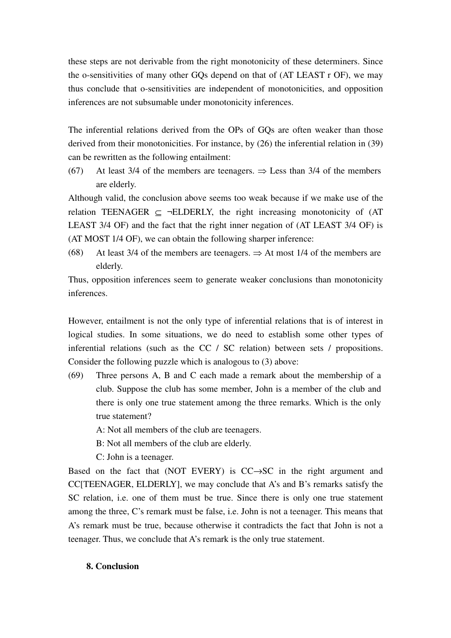these steps are not derivable from the right monotonicity of these determiners. Since the o-sensitivities of many other GQs depend on that of (AT LEAST r OF), we may thus conclude that o-sensitivities are independent of monotonicities, and opposition inferences are not subsumable under monotonicity inferences.

The inferential relations derived from the OPs of GQs are often weaker than those derived from their monotonicities. For instance, by (26) the inferential relation in (39) can be rewritten as the following entailment:

(67) At least 3/4 of the members are teenagers.  $\Rightarrow$  Less than 3/4 of the members are elderly.

Although valid, the conclusion above seems too weak because if we make use of the relation TEENAGER  $\subset \neg$ ELDERLY, the right increasing monotonicity of (AT) LEAST 3/4 OF) and the fact that the right inner negation of (AT LEAST 3/4 OF) is (AT MOST 1/4 OF), we can obtain the following sharper inference:

(68) At least 3/4 of the members are teenagers.  $\Rightarrow$  At most 1/4 of the members are elderly.

Thus, opposition inferences seem to generate weaker conclusions than monotonicity inferences.

However, entailment is not the only type of inferential relations that is of interest in logical studies. In some situations, we do need to establish some other types of inferential relations (such as the CC / SC relation) between sets / propositions. Consider the following puzzle which is analogous to (3) above:

(69) Three persons A, B and C each made a remark about the membership of a club. Suppose the club has some member, John is a member of the club and there is only one true statement among the three remarks. Which is the only true statement?

A: Not all members of the club are teenagers.

- B: Not all members of the club are elderly.
- C: John is a teenager.

Based on the fact that (NOT EVERY) is CC→SC in the right argument and CC[TEENAGER, ELDERLY], we may conclude that A's and B's remarks satisfy the SC relation, i.e. one of them must be true. Since there is only one true statement among the three, C's remark must be false, i.e. John is not a teenager. This means that A's remark must be true, because otherwise it contradicts the fact that John is not a teenager. Thus, we conclude that A's remark is the only true statement.

## **8. Conclusion**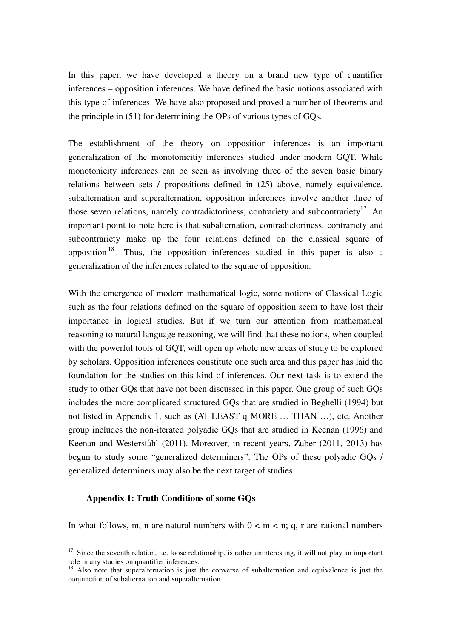In this paper, we have developed a theory on a brand new type of quantifier inferences – opposition inferences. We have defined the basic notions associated with this type of inferences. We have also proposed and proved a number of theorems and the principle in (51) for determining the OPs of various types of GQs.

The establishment of the theory on opposition inferences is an important generalization of the monotonicitiy inferences studied under modern GQT. While monotonicity inferences can be seen as involving three of the seven basic binary relations between sets / propositions defined in (25) above, namely equivalence, subalternation and superalternation, opposition inferences involve another three of those seven relations, namely contradictoriness, contrariety and subcontrariety<sup>17</sup>. An important point to note here is that subalternation, contradictoriness, contrariety and subcontrariety make up the four relations defined on the classical square of opposition <sup>18</sup> . Thus, the opposition inferences studied in this paper is also a generalization of the inferences related to the square of opposition.

With the emergence of modern mathematical logic, some notions of Classical Logic such as the four relations defined on the square of opposition seem to have lost their importance in logical studies. But if we turn our attention from mathematical reasoning to natural language reasoning, we will find that these notions, when coupled with the powerful tools of GQT, will open up whole new areas of study to be explored by scholars. Opposition inferences constitute one such area and this paper has laid the foundation for the studies on this kind of inferences. Our next task is to extend the study to other GQs that have not been discussed in this paper. One group of such GQs includes the more complicated structured GQs that are studied in Beghelli (1994) but not listed in Appendix 1, such as (AT LEAST q MORE … THAN …), etc. Another group includes the non-iterated polyadic GQs that are studied in Keenan (1996) and Keenan and Westerståhl (2011). Moreover, in recent years, Zuber (2011, 2013) has begun to study some "generalized determiners". The OPs of these polyadic GQs / generalized determiners may also be the next target of studies.

### **Appendix 1: Truth Conditions of some GQs**

 $\overline{a}$ 

In what follows, m, n are natural numbers with  $0 < m < n$ ; q, r are rational numbers

 $17$  Since the seventh relation, i.e. loose relationship, is rather uninteresting, it will not play an important role in any studies on quantifier inferences.

<sup>&</sup>lt;sup>18</sup> Also note that superalternation is just the converse of subalternation and equivalence is just the conjunction of subalternation and superalternation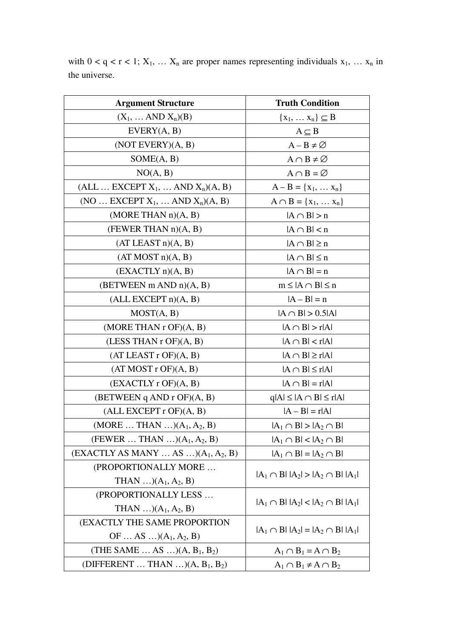| <b>Argument Structure</b>                     | <b>Truth Condition</b>                    |  |
|-----------------------------------------------|-------------------------------------------|--|
| $(X_1, \ldots AND X_n)(B)$                    | $\{x_1, \ldots x_n\} \subseteq B$         |  |
| EVERY(A, B)                                   | $A \subseteq B$                           |  |
| $(NOT$ EVERY $)(A, B)$                        | $A - B \neq \emptyset$                    |  |
| SOME(A, B)                                    | $A \cap B \neq \varnothing$               |  |
| NO(A, B)                                      | $A \cap B = \varnothing$                  |  |
| $(ALL \dots EXCEPT X_1, \dots AND X_n)(A, B)$ | $A - B = \{x_1, \ldots x_n\}$             |  |
| (NO  EXCEPT $X_1$ ,  AND $X_n$ )(A, B)        | $A \cap B = \{x_1, , x_n\}$               |  |
| (MORE THAN n)(A, B)                           | $ A \cap B  > n$                          |  |
| (FEWER THAN n)(A, B)                          | $ A \cap B $ < n                          |  |
| (AT LEAST n)(A, B)                            | $ A \cap B  \geq n$                       |  |
| (AT MOST n)(A, B)                             | $ A \cap B  \leq n$                       |  |
| (EXACTLY n)(A, B)                             | $ A \cap B  = n$                          |  |
| (BETWEEN m AND n)(A, B)                       | $m \leq  A \cap B  \leq n$                |  |
| (ALL EXCEPT n)(A, B)                          | $ A - B  = n$                             |  |
| MOST(A, B)                                    | $ A \cap B  > 0.5 A $                     |  |
| (MORE THAN r OF)(A, B)                        | $ A \cap B  > r A $                       |  |
| (LESS THAN $r$ OF) $(A, B)$                   | $ A \cap B $ < r $ A $                    |  |
| (AT LEAST r OF)(A, B)                         | $ A \cap B  \ge r A $                     |  |
| (AT MOST r OF)(A, B)                          | $ A \cap B  \leq r A $                    |  |
| (EXACTLY r OF)(A, B)                          | $ A \cap B  = r A $                       |  |
| (BETWEEN q AND r OF)(A, B)                    | $q A  \leq  A \cap B  \leq r A $          |  |
| (ALL EXCEPT r OF)(A, B)                       | $ A - B  = r A $                          |  |
| (MORE  THAN ) $(A_1, A_2, B)$                 | $ A_1 \cap B  >  A_2 \cap B $             |  |
| (FEWER  THAN ) $(A_1, A_2, B)$                | $ A_1 \cap B $ < $ A_2 \cap B $           |  |
| $(EXACTLY AS MANY  AS )(A1, A2, B)$           | $ A_1 \cap B  =  A_2 \cap B $             |  |
| (PROPORTIONALLY MORE                          | $ A_1 \cap B   A_2  >  A_2 \cap B   A_1 $ |  |
| THAN $(A_1, A_2, B)$                          |                                           |  |
| (PROPORTIONALLY LESS                          | $ A_1 \cap B   A_2  <  A_2 \cap B   A_1 $ |  |
| THAN $(A_1, A_2, B)$                          |                                           |  |
| <b>(EXACTLY THE SAME PROPORTION)</b>          |                                           |  |
| OF  AS $(A_1, A_2, B)$                        | $ A_1 \cap B   A_2  =  A_2 \cap B   A_1 $ |  |
| (THE SAME  AS ) $(A, B_1, B_2)$               | $A_1 \cap B_1 = A \cap B_2$               |  |
| (DIFFERENT  THAN ) $(A, B_1, B_2)$            | $A_1 \cap B_1 \neq A \cap B_2$            |  |

with  $0 < q < r < 1$ ;  $X_1, \ldots X_n$  are proper names representing individuals  $x_1, \ldots x_n$  in the universe.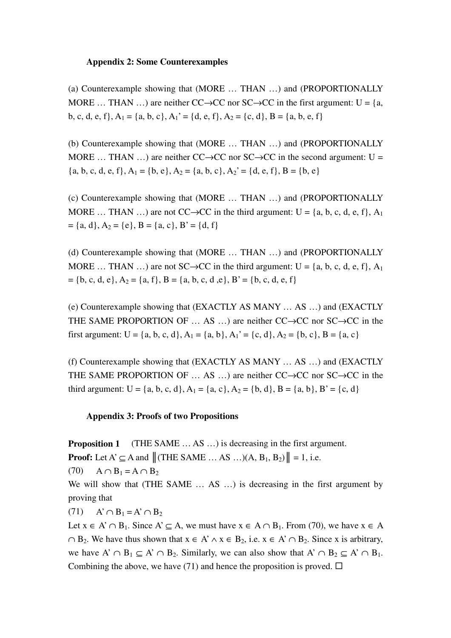## **Appendix 2: Some Counterexamples**

(a) Counterexample showing that (MORE … THAN …) and (PROPORTIONALLY MORE ... THAN ...) are neither  $CC \rightarrow CC$  nor  $SC \rightarrow CC$  in the first argument: U = {a, b, c, d, e, f}, A<sub>1</sub> = {a, b, c}, A<sub>1</sub>' = {d, e, f}, A<sub>2</sub> = {c, d}, B = {a, b, e, f}

(b) Counterexample showing that (MORE … THAN …) and (PROPORTIONALLY MORE ... THAN ...) are neither  $CC \rightarrow CC$  nor  $SC \rightarrow CC$  in the second argument: U =  ${a, b, c, d, e, f}, A_1 = {b, e}, A_2 = {a, b, c}, A_2' = {d, e, f}, B = {b, e}$ 

(c) Counterexample showing that (MORE … THAN …) and (PROPORTIONALLY MORE ... THAN ...) are not CC→CC in the third argument: U = {a, b, c, d, e, f}, A<sub>1</sub>  $= \{a, d\}, A_2 = \{e\}, B = \{a, c\}, B' = \{d, f\}$ 

(d) Counterexample showing that (MORE … THAN …) and (PROPORTIONALLY MORE ... THAN ...) are not SC→CC in the third argument: U = {a, b, c, d, e, f}, A<sub>1</sub>  $= \{b, c, d, e\}, A_2 = \{a, f\}, B = \{a, b, c, d, e\}, B' = \{b, c, d, e, f\}$ 

(e) Counterexample showing that (EXACTLY AS MANY … AS …) and (EXACTLY THE SAME PROPORTION OF  $\dots$  AS  $\dots$ ) are neither CC $\rightarrow$ CC nor SC $\rightarrow$ CC in the first argument:  $U = \{a, b, c, d\}, A_1 = \{a, b\}, A_1' = \{c, d\}, A_2 = \{b, c\}, B = \{a, c\}$ 

(f) Counterexample showing that (EXACTLY AS MANY … AS …) and (EXACTLY THE SAME PROPORTION OF  $\dots$  AS  $\dots$ ) are neither CC $\rightarrow$ CC nor SC $\rightarrow$ CC in the third argument: U = {a, b, c, d}, A<sub>1</sub> = {a, c}, A<sub>2</sub> = {b, d}, B = {a, b}, B' = {c, d}

### **Appendix 3: Proofs of two Propositions**

**Proposition 1** (THE SAME  $\ldots$  AS  $\ldots$ ) is decreasing in the first argument. **Proof:** Let  $A' \subseteq A$  and  $||$  (THE SAME ... AS ...) $(A, B_1, B_2)|| = 1$ , i.e.  $(70)$  A ∩ B<sub>1</sub> = A ∩ B<sub>2</sub>

We will show that (THE SAME ... AS ...) is decreasing in the first argument by proving that

 $(71)$  A' ∩ B<sub>1</sub> = A' ∩ B<sub>2</sub>

Let  $x \in A' \cap B_1$ . Since  $A' \subset A$ , we must have  $x \in A \cap B_1$ . From (70), we have  $x \in A$  $\cap$  B<sub>2</sub>. We have thus shown that  $x \in A' \land x \in B_2$ , i.e.  $x \in A' \cap B_2$ . Since x is arbitrary, we have  $A' \cap B_1 \subset A' \cap B_2$ . Similarly, we can also show that  $A' \cap B_2 \subset A' \cap B_1$ . Combining the above, we have (71) and hence the proposition is proved.  $\Box$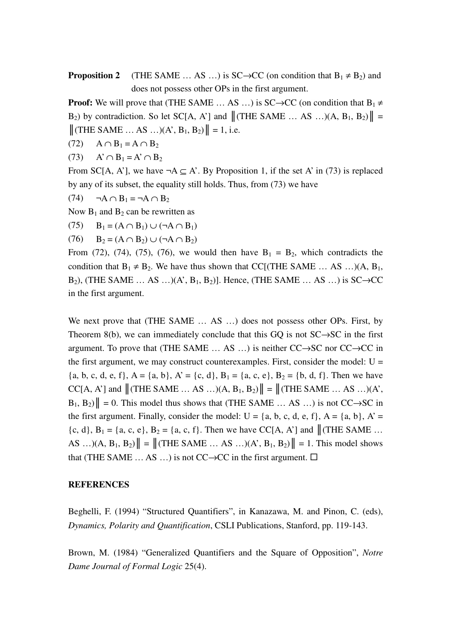**Proposition 2** (THE SAME … AS …) is SC $\rightarrow$ CC (on condition that  $B_1 \neq B_2$ ) and does not possess other OPs in the first argument.

**Proof:** We will prove that (THE SAME  $\dots$  AS  $\dots$ ) is SC $\rightarrow$ CC (on condition that B<sub>1</sub>  $\neq$ B<sub>2</sub>) by contradiction. So let SC[A, A'] and  $\|$  (THE SAME ... AS ...)(A, B<sub>1</sub>, B<sub>2</sub>) $\|$  =  $\|$ (THE SAME ... AS ...)(A', B<sub>1</sub>, B<sub>2</sub>) $\|$  = 1, i.e.

- $(72)$   $A \cap B_1 = A \cap B_2$
- $(73)$  A'  $\cap$  B<sub>1</sub> = A'  $\cap$  B<sub>2</sub>

From SC[A, A'], we have  $\neg A \subset A'$ . By Proposition 1, if the set A' in (73) is replaced by any of its subset, the equality still holds. Thus, from (73) we have

 $(74)$   $\neg A \cap B_1 = \neg A \cap B_2$ 

Now  $B_1$  and  $B_2$  can be rewritten as

(75)  $B_1 = (A \cap B_1) \cup (\neg A \cap B_1)$ 

 $(76)$  B<sub>2</sub> =  $(A \cap B_2) \cup (\neg A \cap B_2)$ 

From (72), (74), (75), (76), we would then have  $B_1 = B_2$ , which contradicts the condition that  $B_1 \neq B_2$ . We have thus shown that CC[(THE SAME ... AS ...)(A,  $B_1$ , B<sub>2</sub>), (THE SAME … AS …)(A', B<sub>1</sub>, B<sub>2</sub>)]. Hence, (THE SAME … AS …) is SC $\rightarrow$ CC in the first argument.

We next prove that (THE SAME  $\dots$  AS  $\dots$ ) does not possess other OPs. First, by Theorem 8(b), we can immediately conclude that this GQ is not  $SC \rightarrow SC$  in the first argument. To prove that (THE SAME  $\dots$  AS  $\dots$ ) is neither CC $\rightarrow$ SC nor CC $\rightarrow$ CC in the first argument, we may construct counterexamples. First, consider the model:  $U =$ {a, b, c, d, e, f}, A = {a, b}, A' = {c, d}, B<sub>1</sub> = {a, c, e}, B<sub>2</sub> = {b, d, f}. Then we have  $CC[A, A']$  and  $\Vert$  (THE SAME  $\ldots$  AS  $\ldots$ ) $(A, B_1, B_2)\Vert = \Vert$  (THE SAME  $\ldots$  AS  $\ldots$ ) $(A',$  $B_1, B_2$ <sup> $\| = 0$ </sup>. This model thus shows that (THE SAME ... AS ...) is not CC $\rightarrow$ SC in the first argument. Finally, consider the model:  $U = \{a, b, c, d, e, f\}$ ,  $A = \{a, b\}$ ,  $A' =$  ${c, d}$ ,  $B_1 = {a, c, e}$ ,  $B_2 = {a, c, f}$ . Then we have CC[A, A'] and  $\|$  (THE SAME ... AS ...) $(A, B_1, B_2)$ || = || (THE SAME ... AS ...) $(A', B_1, B_2)$ || = 1. This model shows that (THE SAME  $\dots$  AS  $\dots$ ) is not CC $\rightarrow$ CC in the first argument.  $\square$ 

#### **REFERENCES**

Beghelli, F. (1994) "Structured Quantifiers", in Kanazawa, M. and Pinon, C. (eds), *Dynamics, Polarity and Quantification*, CSLI Publications, Stanford, pp. 119-143.

Brown, M. (1984) "Generalized Quantifiers and the Square of Opposition", *Notre Dame Journal of Formal Logic* 25(4).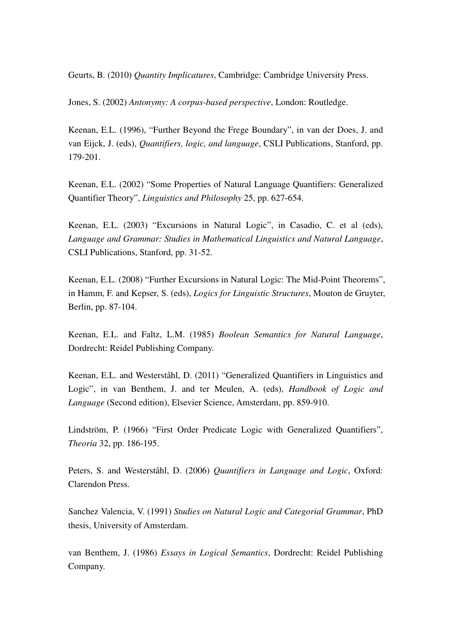Geurts, B. (2010) *Quantity Implicatures*, Cambridge: Cambridge University Press.

Jones, S. (2002) *Antonymy: A corpus-based perspective*, London: Routledge.

Keenan, E.L. (1996), "Further Beyond the Frege Boundary", in van der Does, J. and van Eijck, J. (eds), *Quantifiers, logic, and language*, CSLI Publications, Stanford, pp. 179-201.

Keenan, E.L. (2002) "Some Properties of Natural Language Quantifiers: Generalized Quantifier Theory", *Linguistics and Philosophy* 25, pp. 627-654.

Keenan, E.L. (2003) "Excursions in Natural Logic", in Casadio, C. et al (eds), *Language and Grammar: Studies in Mathematical Linguistics and Natural Language*, CSLI Publications, Stanford, pp. 31-52.

Keenan, E.L. (2008) "Further Excursions in Natural Logic: The Mid-Point Theorems", in Hamm, F. and Kepser, S. (eds), *Logics for Linguistic Structures*, Mouton de Gruyter, Berlin, pp. 87-104.

Keenan, E.L. and Faltz, L.M. (1985) *Boolean Semantics for Natural Language*, Dordrecht: Reidel Publishing Company.

Keenan, E.L. and Westerståhl, D. (2011) "Generalized Quantifiers in Linguistics and Logic", in van Benthem, J. and ter Meulen, A. (eds), *Handbook of Logic and Language* (Second edition), Elsevier Science, Amsterdam, pp. 859-910.

Lindström, P. (1966) "First Order Predicate Logic with Generalized Quantifiers", *Theoria* 32, pp. 186-195.

Peters, S. and Westerståhl, D. (2006) *Quantifiers in Language and Logic*, Oxford: Clarendon Press.

Sanchez Valencia, V. (1991) *Studies on Natural Logic and Categorial Grammar*, PhD thesis, University of Amsterdam.

van Benthem, J. (1986) *Essays in Logical Semantics*, Dordrecht: Reidel Publishing Company.